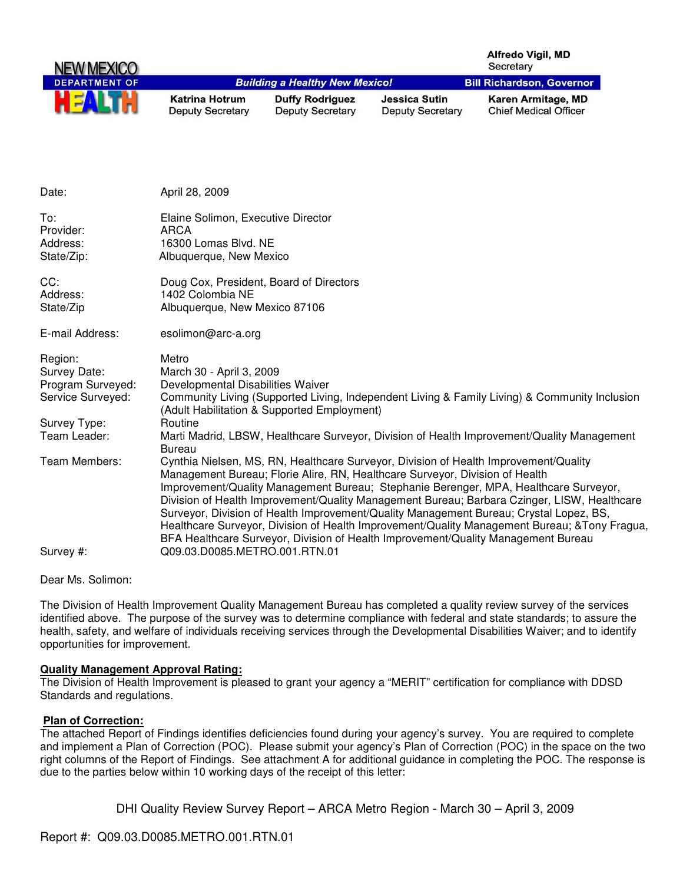| NEW MEXICO           |                                                  |                                                   |                                                 | <b>Alfredo Vigil, MD</b><br>Secretary              |
|----------------------|--------------------------------------------------|---------------------------------------------------|-------------------------------------------------|----------------------------------------------------|
| <b>DEPARTMENT OF</b> |                                                  | <b>Building a Healthy New Mexico!</b>             |                                                 | <b>Bill Richardson, Governor</b>                   |
| HEAL                 | <b>Katrina Hotrum</b><br><b>Deputy Secretary</b> | <b>Duffy Rodriguez</b><br><b>Deputy Secretary</b> | <b>Jessica Sutin</b><br><b>Deputy Secretary</b> | Karen Armitage, MD<br><b>Chief Medical Officer</b> |

| Date:                                                                                             | April 28, 2009                                                                                                                                                                                                                                                                                                                                                                                                                                                                                                                                                                                                                                                               |
|---------------------------------------------------------------------------------------------------|------------------------------------------------------------------------------------------------------------------------------------------------------------------------------------------------------------------------------------------------------------------------------------------------------------------------------------------------------------------------------------------------------------------------------------------------------------------------------------------------------------------------------------------------------------------------------------------------------------------------------------------------------------------------------|
| To:<br>Provider:<br>Address:<br>State/Zip:                                                        | Elaine Solimon, Executive Director<br><b>ARCA</b><br>16300 Lomas Blvd. NE<br>Albuquerque, New Mexico                                                                                                                                                                                                                                                                                                                                                                                                                                                                                                                                                                         |
| CC:<br>Address:<br>State/Zip                                                                      | Doug Cox, President, Board of Directors<br>1402 Colombia NE<br>Albuquerque, New Mexico 87106                                                                                                                                                                                                                                                                                                                                                                                                                                                                                                                                                                                 |
| E-mail Address:                                                                                   | esolimon@arc-a.org                                                                                                                                                                                                                                                                                                                                                                                                                                                                                                                                                                                                                                                           |
| Region:<br>Survey Date:<br>Program Surveyed:<br>Service Surveyed:<br>Survey Type:<br>Team Leader: | Metro<br>March 30 - April 3, 2009<br>Developmental Disabilities Waiver<br>Community Living (Supported Living, Independent Living & Family Living) & Community Inclusion<br>(Adult Habilitation & Supported Employment)<br>Routine                                                                                                                                                                                                                                                                                                                                                                                                                                            |
|                                                                                                   | Marti Madrid, LBSW, Healthcare Surveyor, Division of Health Improvement/Quality Management<br><b>Bureau</b>                                                                                                                                                                                                                                                                                                                                                                                                                                                                                                                                                                  |
| Team Members:                                                                                     | Cynthia Nielsen, MS, RN, Healthcare Surveyor, Division of Health Improvement/Quality<br>Management Bureau; Florie Alire, RN, Healthcare Surveyor, Division of Health<br>Improvement/Quality Management Bureau; Stephanie Berenger, MPA, Healthcare Surveyor,<br>Division of Health Improvement/Quality Management Bureau; Barbara Czinger, LISW, Healthcare<br>Surveyor, Division of Health Improvement/Quality Management Bureau; Crystal Lopez, BS,<br>Healthcare Surveyor, Division of Health Improvement/Quality Management Bureau; & Tony Fragua,<br>BFA Healthcare Surveyor, Division of Health Improvement/Quality Management Bureau<br>Q09.03.D0085.METRO.001.RTN.01 |
| Survey #:                                                                                         |                                                                                                                                                                                                                                                                                                                                                                                                                                                                                                                                                                                                                                                                              |

Dear Ms. Solimon:

The Division of Health Improvement Quality Management Bureau has completed a quality review survey of the services identified above. The purpose of the survey was to determine compliance with federal and state standards; to assure the health, safety, and welfare of individuals receiving services through the Developmental Disabilities Waiver; and to identify opportunities for improvement.

## **Quality Management Approval Rating:**

The Division of Health Improvement is pleased to grant your agency a "MERIT" certification for compliance with DDSD Standards and regulations.

## **Plan of Correction:**

The attached Report of Findings identifies deficiencies found during your agency's survey. You are required to complete and implement a Plan of Correction (POC). Please submit your agency's Plan of Correction (POC) in the space on the two right columns of the Report of Findings. See attachment A for additional guidance in completing the POC. The response is due to the parties below within 10 working days of the receipt of this letter:

```
DHI Quality Review Survey Report – ARCA Metro Region - March 30 – April 3, 2009
```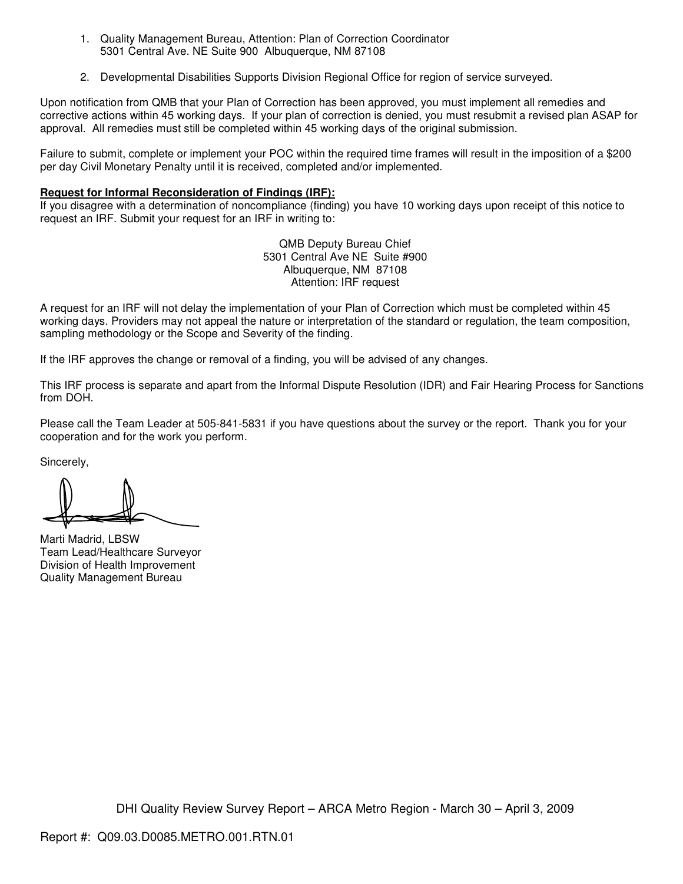- 1. Quality Management Bureau, Attention: Plan of Correction Coordinator 5301 Central Ave. NE Suite 900 Albuquerque, NM 87108
- 2. Developmental Disabilities Supports Division Regional Office for region of service surveyed.

Upon notification from QMB that your Plan of Correction has been approved, you must implement all remedies and corrective actions within 45 working days. If your plan of correction is denied, you must resubmit a revised plan ASAP for approval. All remedies must still be completed within 45 working days of the original submission.

Failure to submit, complete or implement your POC within the required time frames will result in the imposition of a \$200 per day Civil Monetary Penalty until it is received, completed and/or implemented.

#### **Request for Informal Reconsideration of Findings (IRF):**

If you disagree with a determination of noncompliance (finding) you have 10 working days upon receipt of this notice to request an IRF. Submit your request for an IRF in writing to:

> QMB Deputy Bureau Chief 5301 Central Ave NE Suite #900 Albuquerque, NM 87108 Attention: IRF request

A request for an IRF will not delay the implementation of your Plan of Correction which must be completed within 45 working days. Providers may not appeal the nature or interpretation of the standard or regulation, the team composition, sampling methodology or the Scope and Severity of the finding.

If the IRF approves the change or removal of a finding, you will be advised of any changes.

This IRF process is separate and apart from the Informal Dispute Resolution (IDR) and Fair Hearing Process for Sanctions from DOH.

Please call the Team Leader at 505-841-5831 if you have questions about the survey or the report. Thank you for your cooperation and for the work you perform.

Sincerely,

Marti Madrid, LBSW Team Lead/Healthcare Surveyor Division of Health Improvement Quality Management Bureau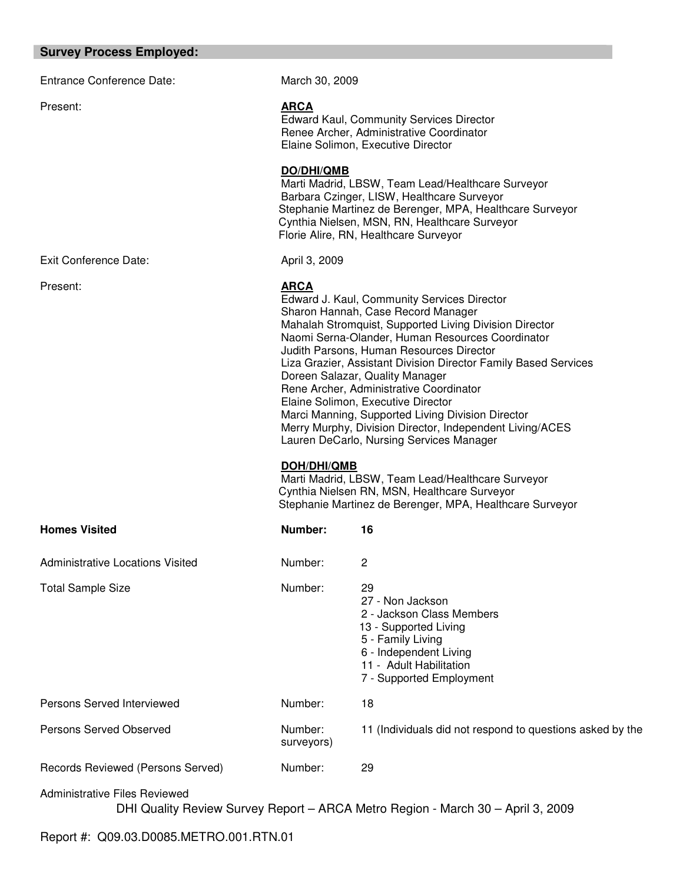#### **Survey Process Employed:**

Entrance Conference Date: March 30, 2009 Present: **ARCA** Edward Kaul, Community Services Director Renee Archer, Administrative Coordinator Elaine Solimon, Executive Director **DO/DHI/QMB** Marti Madrid, LBSW, Team Lead/Healthcare Surveyor Barbara Czinger, LISW, Healthcare Surveyor Stephanie Martinez de Berenger, MPA, Healthcare Surveyor Cynthia Nielsen, MSN, RN, Healthcare Surveyor Florie Alire, RN, Healthcare Surveyor Exit Conference Date: April 3, 2009 Present: **ARCA** Edward J. Kaul, Community Services Director Sharon Hannah, Case Record Manager Mahalah Stromquist, Supported Living Division Director Naomi Serna-Olander, Human Resources Coordinator Judith Parsons, Human Resources Director Liza Grazier, Assistant Division Director Family Based Services Doreen Salazar, Quality Manager Rene Archer, Administrative Coordinator Elaine Solimon, Executive Director Marci Manning, Supported Living Division Director Merry Murphy, Division Director, Independent Living/ACES Lauren DeCarlo, Nursing Services Manager **DOH/DHI/QMB** Marti Madrid, LBSW, Team Lead/Healthcare Surveyor Cynthia Nielsen RN, MSN, Healthcare Surveyor Stephanie Martinez de Berenger, MPA, Healthcare Surveyor **Homes Visited Number:** 16 Administrative Locations Visited **Number:** 2 Total Sample Size **Number:** 29 27 - Non Jackson 2 - Jackson Class Members 13 - Supported Living 5 - Family Living 6 - Independent Living 11 - Adult Habilitation 7 - Supported Employment Persons Served Interviewed Number: 18 Persons Served Observed Number: 11 (Individuals did not respond to questions asked by the surveyors)

Records Reviewed (Persons Served) Number: 29

Administrative Files Reviewed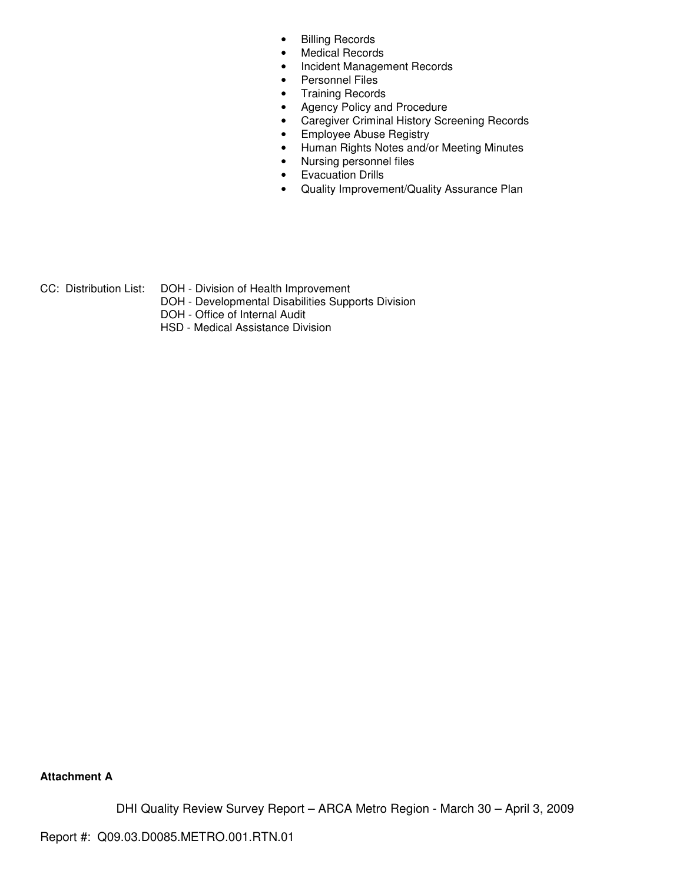- Billing Records
- Medical Records
- Incident Management Records
- Personnel Files
- Training Records
- Agency Policy and Procedure
- Caregiver Criminal History Screening Records
- Employee Abuse Registry
- Human Rights Notes and/or Meeting Minutes
- Nursing personnel files
- Evacuation Drills
- Quality Improvement/Quality Assurance Plan

CC: Distribution List: DOH - Division of Health Improvement

- DOH Developmental Disabilities Supports Division
- DOH Office of Internal Audit
- HSD Medical Assistance Division

**Attachment A**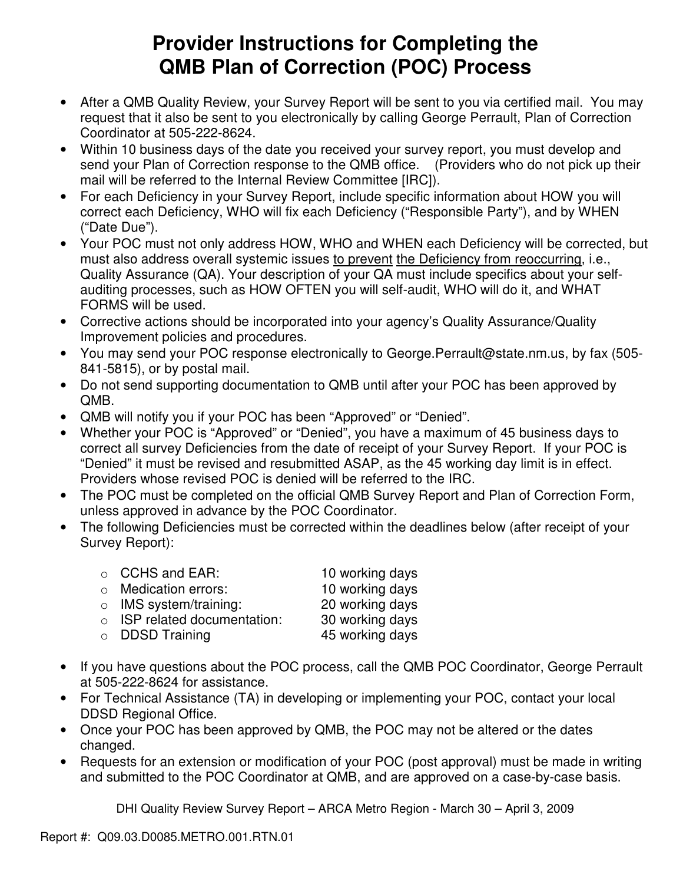# **Provider Instructions for Completing the QMB Plan of Correction (POC) Process**

- After a QMB Quality Review, your Survey Report will be sent to you via certified mail. You may request that it also be sent to you electronically by calling George Perrault, Plan of Correction Coordinator at 505-222-8624.
- Within 10 business days of the date you received your survey report, you must develop and send your Plan of Correction response to the QMB office. (Providers who do not pick up their mail will be referred to the Internal Review Committee [IRC]).
- For each Deficiency in your Survey Report, include specific information about HOW you will correct each Deficiency, WHO will fix each Deficiency ("Responsible Party"), and by WHEN ("Date Due").
- Your POC must not only address HOW, WHO and WHEN each Deficiency will be corrected, but must also address overall systemic issues to prevent the Deficiency from reoccurring, i.e., Quality Assurance (QA). Your description of your QA must include specifics about your selfauditing processes, such as HOW OFTEN you will self-audit, WHO will do it, and WHAT FORMS will be used.
- Corrective actions should be incorporated into your agency's Quality Assurance/Quality Improvement policies and procedures.
- You may send your POC response electronically to George.Perrault@state.nm.us, by fax (505- 841-5815), or by postal mail.
- Do not send supporting documentation to QMB until after your POC has been approved by QMB.
- QMB will notify you if your POC has been "Approved" or "Denied".
- Whether your POC is "Approved" or "Denied", you have a maximum of 45 business days to correct all survey Deficiencies from the date of receipt of your Survey Report. If your POC is "Denied" it must be revised and resubmitted ASAP, as the 45 working day limit is in effect. Providers whose revised POC is denied will be referred to the IRC.
- The POC must be completed on the official QMB Survey Report and Plan of Correction Form, unless approved in advance by the POC Coordinator.
- The following Deficiencies must be corrected within the deadlines below (after receipt of your Survey Report):

| $\circ$ CCHS and EAR:              | 10 working days |
|------------------------------------|-----------------|
| $\circ$ Medication errors:         | 10 working days |
| $\circ$ IMS system/training:       | 20 working days |
| $\circ$ ISP related documentation: | 30 working days |
| $\circ$ DDSD Training              | 45 working days |

- If you have questions about the POC process, call the QMB POC Coordinator, George Perrault at 505-222-8624 for assistance.
- For Technical Assistance (TA) in developing or implementing your POC, contact your local DDSD Regional Office.
- Once your POC has been approved by QMB, the POC may not be altered or the dates changed.
- Requests for an extension or modification of your POC (post approval) must be made in writing and submitted to the POC Coordinator at QMB, and are approved on a case-by-case basis.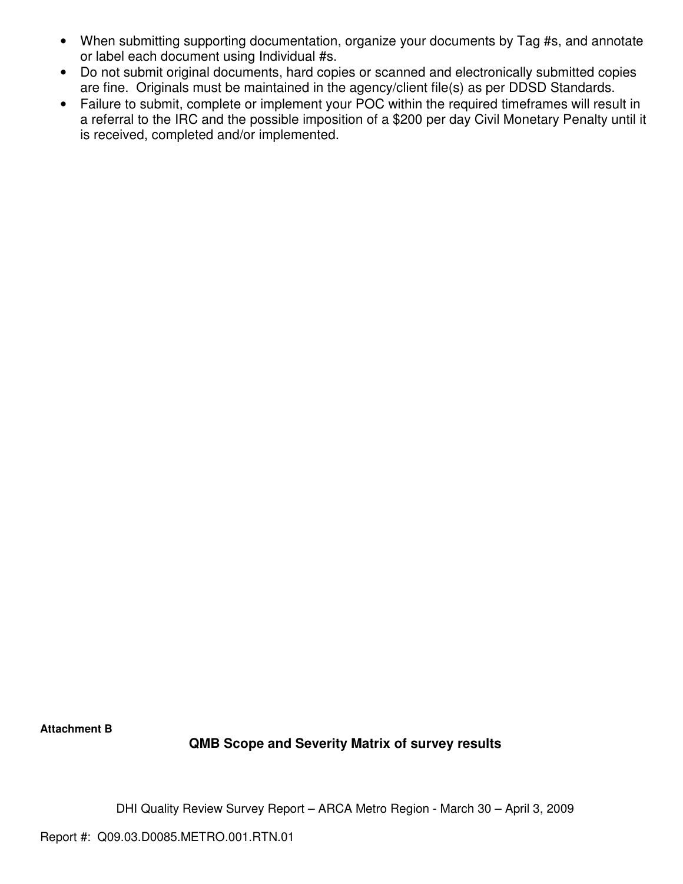- When submitting supporting documentation, organize your documents by Tag #s, and annotate or label each document using Individual #s.
- Do not submit original documents, hard copies or scanned and electronically submitted copies are fine. Originals must be maintained in the agency/client file(s) as per DDSD Standards.
- Failure to submit, complete or implement your POC within the required timeframes will result in a referral to the IRC and the possible imposition of a \$200 per day Civil Monetary Penalty until it is received, completed and/or implemented.

**Attachment B** 

## **QMB Scope and Severity Matrix of survey results**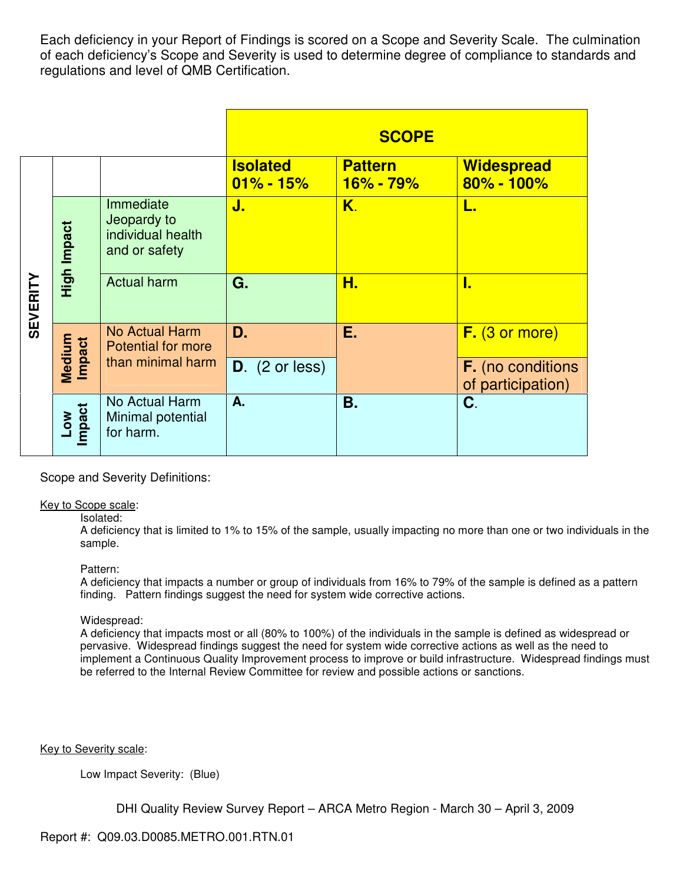Each deficiency in your Report of Findings is scored on a Scope and Severity Scale. The culmination of each deficiency's Scope and Severity is used to determine degree of compliance to standards and regulations and level of QMB Certification.

|                 |                  |                                                                |                                  | <b>SCOPE</b>                    |                                               |
|-----------------|------------------|----------------------------------------------------------------|----------------------------------|---------------------------------|-----------------------------------------------|
|                 |                  |                                                                | <b>Isolated</b><br>$01\% - 15\%$ | <b>Pattern</b><br>$16\% - 79\%$ | <b>Widespread</b><br>$80\% - 100\%$           |
|                 | High Impact      | Immediate<br>Jeopardy to<br>individual health<br>and or safety | J.                               | K.                              |                                               |
| <b>SEVERITY</b> |                  | <b>Actual harm</b>                                             | G.                               | Н.                              | I.                                            |
|                 |                  | <b>No Actual Harm</b><br><b>Potential for more</b>             | D.                               | Ε.                              | F. (3 or more)                                |
|                 | Medium<br>Impact | than minimal harm                                              | $D.$ (2 or less)                 |                                 | <b>F.</b> (no conditions<br>of participation) |
|                 | Low<br>Impact    | No Actual Harm<br>Minimal potential<br>for harm.               | A.                               | Β.                              | C.                                            |

Scope and Severity Definitions:

#### Key to Scope scale:

#### Isolated:

A deficiency that is limited to 1% to 15% of the sample, usually impacting no more than one or two individuals in the sample.

#### Pattern:

A deficiency that impacts a number or group of individuals from 16% to 79% of the sample is defined as a pattern finding. Pattern findings suggest the need for system wide corrective actions.

#### Widespread:

A deficiency that impacts most or all (80% to 100%) of the individuals in the sample is defined as widespread or pervasive. Widespread findings suggest the need for system wide corrective actions as well as the need to implement a Continuous Quality Improvement process to improve or build infrastructure. Widespread findings must be referred to the Internal Review Committee for review and possible actions or sanctions.

Key to Severity scale:

Low Impact Severity: (Blue)

DHI Quality Review Survey Report – ARCA Metro Region - March 30 – April 3, 2009

## Report #: Q09.03.D0085.METRO.001.RTN.01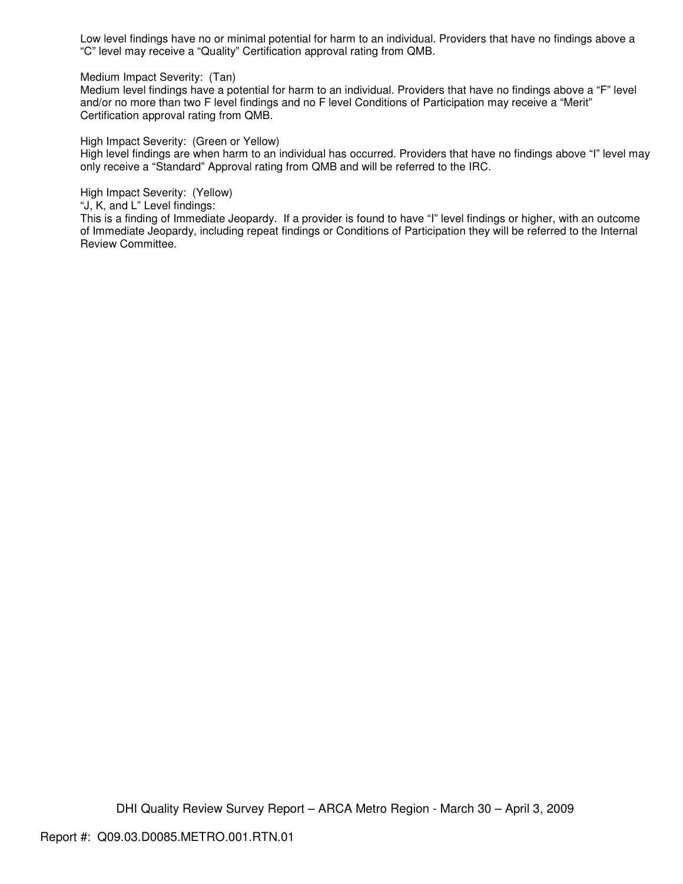Low level findings have no or minimal potential for harm to an individual. Providers that have no findings above a "C" level may receive a "Quality" Certification approval rating from QMB.

Medium Impact Severity: (Tan)

Medium level findings have a potential for harm to an individual. Providers that have no findings above a "F" level and/or no more than two F level findings and no F level Conditions of Participation may receive a "Merit" Certification approval rating from QMB.

High Impact Severity: (Green or Yellow)

High level findings are when harm to an individual has occurred. Providers that have no findings above "I" level may only receive a "Standard" Approval rating from QMB and will be referred to the IRC.

High Impact Severity: (Yellow)

"J, K, and L" Level findings:

This is a finding of Immediate Jeopardy. If a provider is found to have "I" level findings or higher, with an outcome of Immediate Jeopardy, including repeat findings or Conditions of Participation they will be referred to the Internal Review Committee.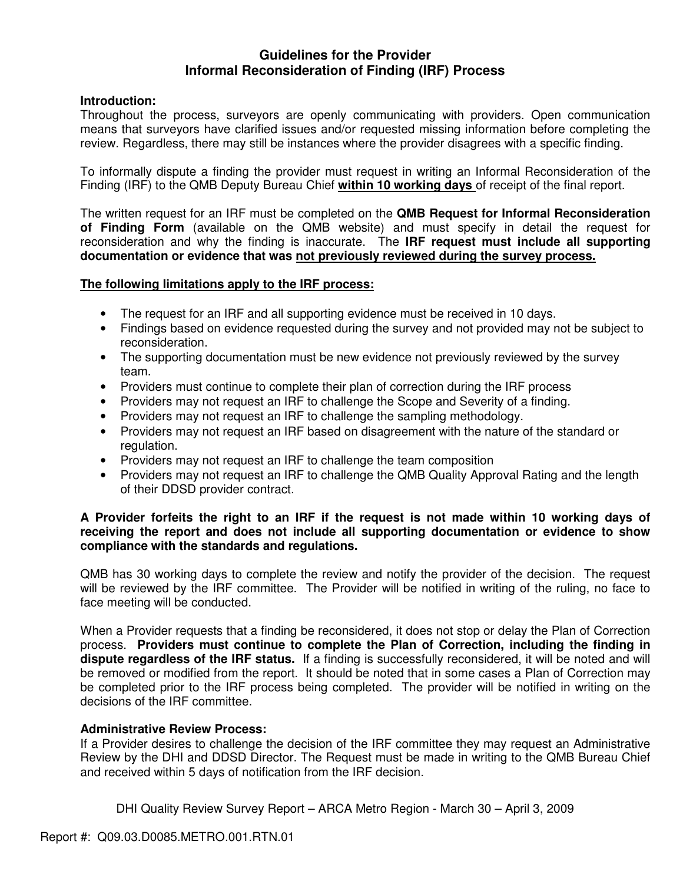## **Guidelines for the Provider Informal Reconsideration of Finding (IRF) Process**

## **Introduction:**

Throughout the process, surveyors are openly communicating with providers. Open communication means that surveyors have clarified issues and/or requested missing information before completing the review. Regardless, there may still be instances where the provider disagrees with a specific finding.

To informally dispute a finding the provider must request in writing an Informal Reconsideration of the Finding (IRF) to the QMB Deputy Bureau Chief **within 10 working days** of receipt of the final report.

The written request for an IRF must be completed on the **QMB Request for Informal Reconsideration of Finding Form** (available on the QMB website) and must specify in detail the request for reconsideration and why the finding is inaccurate. The **IRF request must include all supporting documentation or evidence that was not previously reviewed during the survey process.** 

## **The following limitations apply to the IRF process:**

- The request for an IRF and all supporting evidence must be received in 10 days.
- Findings based on evidence requested during the survey and not provided may not be subject to reconsideration.
- The supporting documentation must be new evidence not previously reviewed by the survey team.
- Providers must continue to complete their plan of correction during the IRF process
- Providers may not request an IRF to challenge the Scope and Severity of a finding.
- Providers may not request an IRF to challenge the sampling methodology.
- Providers may not request an IRF based on disagreement with the nature of the standard or regulation.
- Providers may not request an IRF to challenge the team composition
- Providers may not request an IRF to challenge the QMB Quality Approval Rating and the length of their DDSD provider contract.

## **A Provider forfeits the right to an IRF if the request is not made within 10 working days of receiving the report and does not include all supporting documentation or evidence to show compliance with the standards and regulations.**

QMB has 30 working days to complete the review and notify the provider of the decision. The request will be reviewed by the IRF committee. The Provider will be notified in writing of the ruling, no face to face meeting will be conducted.

When a Provider requests that a finding be reconsidered, it does not stop or delay the Plan of Correction process. **Providers must continue to complete the Plan of Correction, including the finding in dispute regardless of the IRF status.** If a finding is successfully reconsidered, it will be noted and will be removed or modified from the report. It should be noted that in some cases a Plan of Correction may be completed prior to the IRF process being completed. The provider will be notified in writing on the decisions of the IRF committee.

## **Administrative Review Process:**

If a Provider desires to challenge the decision of the IRF committee they may request an Administrative Review by the DHI and DDSD Director. The Request must be made in writing to the QMB Bureau Chief and received within 5 days of notification from the IRF decision.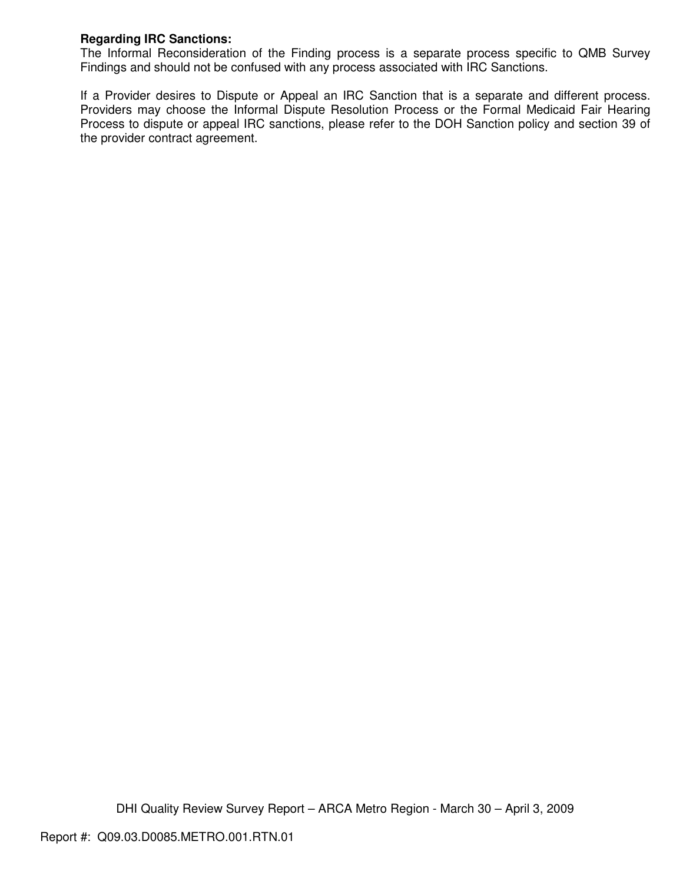## **Regarding IRC Sanctions:**

The Informal Reconsideration of the Finding process is a separate process specific to QMB Survey Findings and should not be confused with any process associated with IRC Sanctions.

If a Provider desires to Dispute or Appeal an IRC Sanction that is a separate and different process. Providers may choose the Informal Dispute Resolution Process or the Formal Medicaid Fair Hearing Process to dispute or appeal IRC sanctions, please refer to the DOH Sanction policy and section 39 of the provider contract agreement.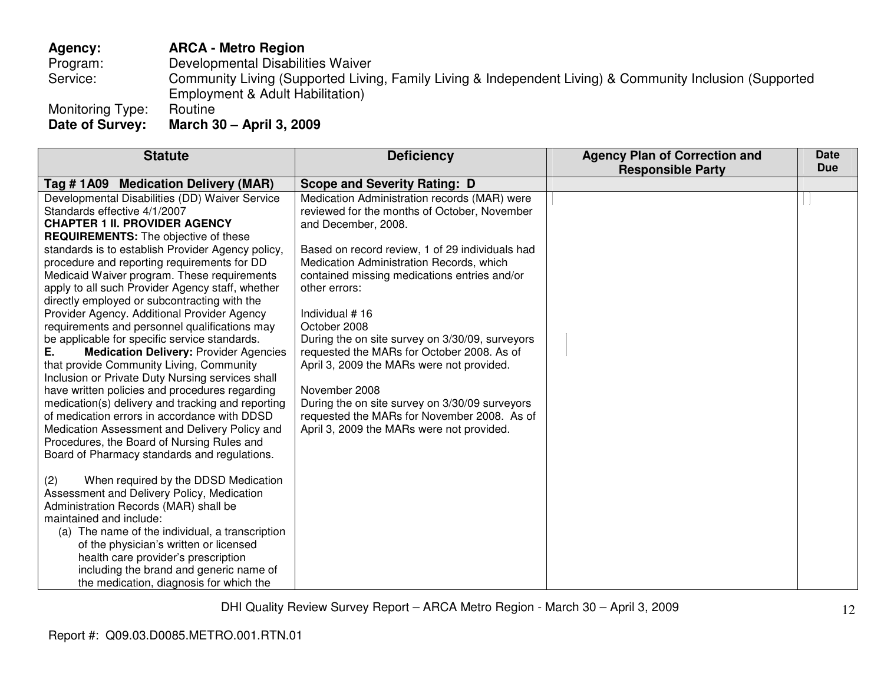## **Agency: ARCA - Metro Region**

Program: Developmental Disabilities Waiver

 Service: Community Living (Supported Living, Family Living & Independent Living) & Community Inclusion (Supported Employment & Adult Habilitation)

Monitoring Type:<br>Date of Survey:

**Date of Survey: March 30 – April 3, 2009** 

| <b>Statute</b>                                                                                                                                                                                                                                                                                                                                                                                                                                                                                                                                                                                                                                                                                                                                                                                                                                                                | <b>Deficiency</b>                                                                                                                                                                                                                                                                                                                                                                                                                                                                                                                                                             | <b>Agency Plan of Correction and</b> | <b>Date</b> |
|-------------------------------------------------------------------------------------------------------------------------------------------------------------------------------------------------------------------------------------------------------------------------------------------------------------------------------------------------------------------------------------------------------------------------------------------------------------------------------------------------------------------------------------------------------------------------------------------------------------------------------------------------------------------------------------------------------------------------------------------------------------------------------------------------------------------------------------------------------------------------------|-------------------------------------------------------------------------------------------------------------------------------------------------------------------------------------------------------------------------------------------------------------------------------------------------------------------------------------------------------------------------------------------------------------------------------------------------------------------------------------------------------------------------------------------------------------------------------|--------------------------------------|-------------|
|                                                                                                                                                                                                                                                                                                                                                                                                                                                                                                                                                                                                                                                                                                                                                                                                                                                                               |                                                                                                                                                                                                                                                                                                                                                                                                                                                                                                                                                                               |                                      |             |
| Tag # 1A09 Medication Delivery (MAR)<br>Developmental Disabilities (DD) Waiver Service<br>Standards effective 4/1/2007<br><b>CHAPTER 1 II. PROVIDER AGENCY</b><br><b>REQUIREMENTS:</b> The objective of these<br>standards is to establish Provider Agency policy,<br>procedure and reporting requirements for DD<br>Medicaid Waiver program. These requirements<br>apply to all such Provider Agency staff, whether<br>directly employed or subcontracting with the<br>Provider Agency. Additional Provider Agency<br>requirements and personnel qualifications may<br>be applicable for specific service standards.<br><b>Medication Delivery: Provider Agencies</b><br>that provide Community Living, Community<br>Inclusion or Private Duty Nursing services shall<br>have written policies and procedures regarding<br>medication(s) delivery and tracking and reporting | <b>Scope and Severity Rating: D</b><br>Medication Administration records (MAR) were<br>reviewed for the months of October, November<br>and December, 2008.<br>Based on record review, 1 of 29 individuals had<br>Medication Administration Records, which<br>contained missing medications entries and/or<br>other errors:<br>Individual #16<br>October 2008<br>During the on site survey on 3/30/09, surveyors<br>requested the MARs for October 2008. As of<br>April 3, 2009 the MARs were not provided.<br>November 2008<br>During the on site survey on 3/30/09 surveyors | <b>Responsible Party</b>             | <b>Due</b>  |
| of medication errors in accordance with DDSD<br>Medication Assessment and Delivery Policy and<br>Procedures, the Board of Nursing Rules and<br>Board of Pharmacy standards and regulations.<br>When required by the DDSD Medication<br>(2)<br>Assessment and Delivery Policy, Medication<br>Administration Records (MAR) shall be<br>maintained and include:<br>(a) The name of the individual, a transcription<br>of the physician's written or licensed<br>health care provider's prescription<br>including the brand and generic name of<br>the medication, diagnosis for which the                                                                                                                                                                                                                                                                                        | requested the MARs for November 2008. As of<br>April 3, 2009 the MARs were not provided.                                                                                                                                                                                                                                                                                                                                                                                                                                                                                      |                                      |             |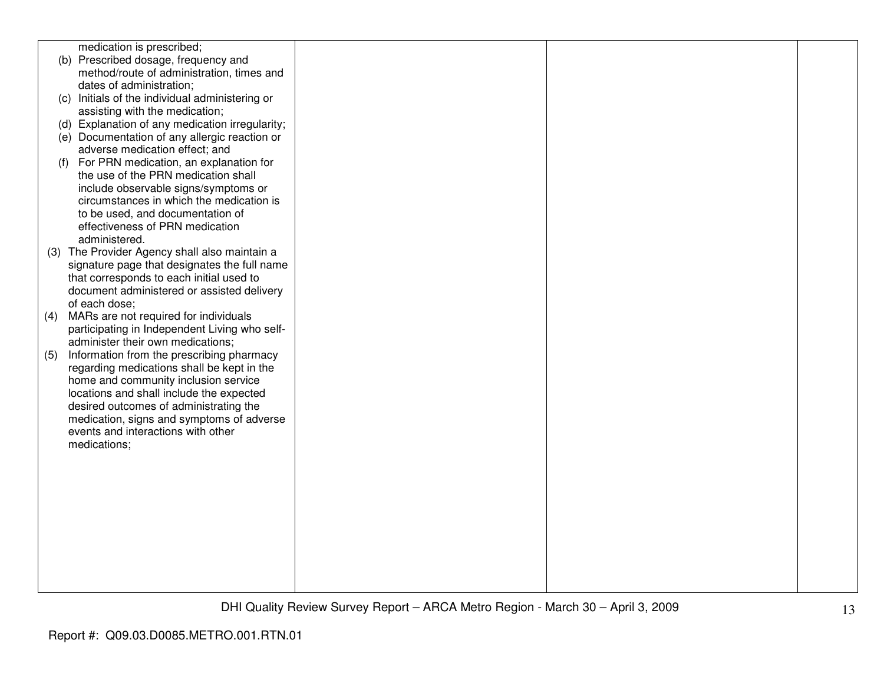| medication is prescribed;                                                       |  |  |
|---------------------------------------------------------------------------------|--|--|
| (b) Prescribed dosage, frequency and                                            |  |  |
| method/route of administration, times and                                       |  |  |
| dates of administration;                                                        |  |  |
| (c) Initials of the individual administering or                                 |  |  |
| assisting with the medication;                                                  |  |  |
| (d) Explanation of any medication irregularity;                                 |  |  |
| (e) Documentation of any allergic reaction or                                   |  |  |
| adverse medication effect; and                                                  |  |  |
| For PRN medication, an explanation for<br>(f)                                   |  |  |
| the use of the PRN medication shall                                             |  |  |
| include observable signs/symptoms or                                            |  |  |
| circumstances in which the medication is                                        |  |  |
| to be used, and documentation of                                                |  |  |
| effectiveness of PRN medication                                                 |  |  |
| administered.                                                                   |  |  |
| (3) The Provider Agency shall also maintain a                                   |  |  |
| signature page that designates the full name                                    |  |  |
| that corresponds to each initial used to                                        |  |  |
| document administered or assisted delivery                                      |  |  |
| of each dose;                                                                   |  |  |
| MARs are not required for individuals<br>(4)                                    |  |  |
| participating in Independent Living who self-                                   |  |  |
| administer their own medications;                                               |  |  |
| Information from the prescribing pharmacy<br>(5)                                |  |  |
| regarding medications shall be kept in the                                      |  |  |
| home and community inclusion service                                            |  |  |
| locations and shall include the expected                                        |  |  |
| desired outcomes of administrating the                                          |  |  |
| medication, signs and symptoms of adverse<br>events and interactions with other |  |  |
|                                                                                 |  |  |
| medications;                                                                    |  |  |
|                                                                                 |  |  |
|                                                                                 |  |  |
|                                                                                 |  |  |
|                                                                                 |  |  |
|                                                                                 |  |  |
|                                                                                 |  |  |
|                                                                                 |  |  |
|                                                                                 |  |  |
|                                                                                 |  |  |
|                                                                                 |  |  |
|                                                                                 |  |  |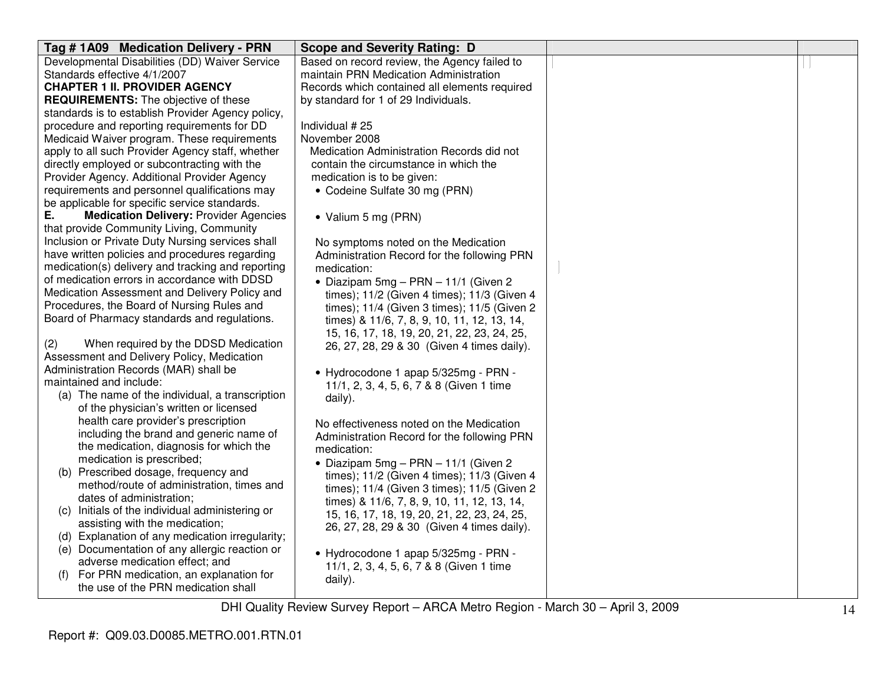| Tag # 1A09 Medication Delivery - PRN                | <b>Scope and Severity Rating: D</b>           |  |
|-----------------------------------------------------|-----------------------------------------------|--|
| Developmental Disabilities (DD) Waiver Service      | Based on record review, the Agency failed to  |  |
| Standards effective 4/1/2007                        | maintain PRN Medication Administration        |  |
| <b>CHAPTER 1 II. PROVIDER AGENCY</b>                | Records which contained all elements required |  |
| <b>REQUIREMENTS:</b> The objective of these         | by standard for 1 of 29 Individuals.          |  |
| standards is to establish Provider Agency policy,   |                                               |  |
| procedure and reporting requirements for DD         | Individual #25                                |  |
| Medicaid Waiver program. These requirements         | November 2008                                 |  |
| apply to all such Provider Agency staff, whether    | Medication Administration Records did not     |  |
| directly employed or subcontracting with the        | contain the circumstance in which the         |  |
| Provider Agency. Additional Provider Agency         | medication is to be given:                    |  |
| requirements and personnel qualifications may       | • Codeine Sulfate 30 mg (PRN)                 |  |
| be applicable for specific service standards.       |                                               |  |
| <b>Medication Delivery: Provider Agencies</b><br>Е. | • Valium 5 mg (PRN)                           |  |
| that provide Community Living, Community            |                                               |  |
| Inclusion or Private Duty Nursing services shall    | No symptoms noted on the Medication           |  |
| have written policies and procedures regarding      | Administration Record for the following PRN   |  |
| medication(s) delivery and tracking and reporting   | medication:                                   |  |
| of medication errors in accordance with DDSD        | • Diazipam $5mg - PRN - 11/1$ (Given 2)       |  |
| Medication Assessment and Delivery Policy and       | times); 11/2 (Given 4 times); 11/3 (Given 4   |  |
| Procedures, the Board of Nursing Rules and          | times); 11/4 (Given 3 times); 11/5 (Given 2   |  |
| Board of Pharmacy standards and regulations.        | times) & 11/6, 7, 8, 9, 10, 11, 12, 13, 14,   |  |
|                                                     | 15, 16, 17, 18, 19, 20, 21, 22, 23, 24, 25,   |  |
| (2)<br>When required by the DDSD Medication         | 26, 27, 28, 29 & 30 (Given 4 times daily).    |  |
| Assessment and Delivery Policy, Medication          |                                               |  |
| Administration Records (MAR) shall be               | • Hydrocodone 1 apap 5/325mg - PRN -          |  |
| maintained and include:                             | 11/1, 2, 3, 4, 5, 6, 7 & 8 (Given 1 time      |  |
| (a) The name of the individual, a transcription     | daily).                                       |  |
| of the physician's written or licensed              |                                               |  |
| health care provider's prescription                 | No effectiveness noted on the Medication      |  |
| including the brand and generic name of             | Administration Record for the following PRN   |  |
| the medication, diagnosis for which the             | medication:                                   |  |
| medication is prescribed;                           | • Diazipam $5mg - PRN - 11/1$ (Given 2)       |  |
| (b) Prescribed dosage, frequency and                | times); 11/2 (Given 4 times); 11/3 (Given 4   |  |
| method/route of administration, times and           | times); 11/4 (Given 3 times); 11/5 (Given 2   |  |
| dates of administration;                            | times) & 11/6, 7, 8, 9, 10, 11, 12, 13, 14,   |  |
| (c) Initials of the individual administering or     | 15, 16, 17, 18, 19, 20, 21, 22, 23, 24, 25,   |  |
| assisting with the medication;                      | 26, 27, 28, 29 & 30 (Given 4 times daily).    |  |
| (d) Explanation of any medication irregularity;     |                                               |  |
| (e) Documentation of any allergic reaction or       | • Hydrocodone 1 apap 5/325mg - PRN -          |  |
| adverse medication effect; and                      | 11/1, 2, 3, 4, 5, 6, 7 & 8 (Given 1 time      |  |
| For PRN medication, an explanation for<br>(f)       | daily).                                       |  |
| the use of the PRN medication shall                 |                                               |  |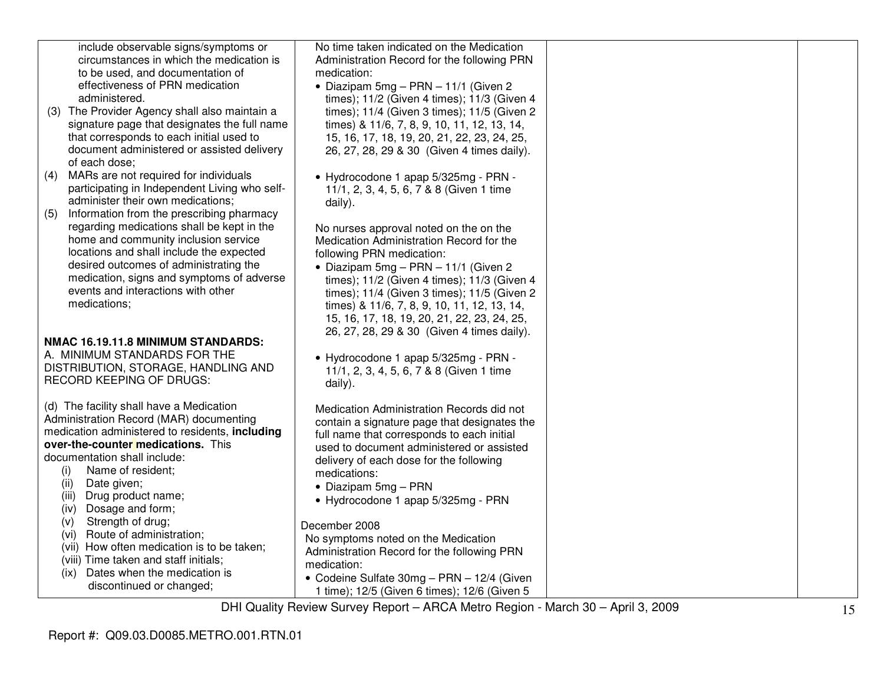| include observable signs/symptoms or             | No time taken indicated on the Medication               |  |
|--------------------------------------------------|---------------------------------------------------------|--|
| circumstances in which the medication is         | Administration Record for the following PRN             |  |
| to be used, and documentation of                 | medication:                                             |  |
| effectiveness of PRN medication                  | • Diazipam 5mg - PRN - 11/1 (Given 2                    |  |
| administered.                                    | times); 11/2 (Given 4 times); 11/3 (Given 4             |  |
| (3) The Provider Agency shall also maintain a    | times); 11/4 (Given 3 times); 11/5 (Given 2             |  |
| signature page that designates the full name     | times) & 11/6, 7, 8, 9, 10, 11, 12, 13, 14,             |  |
| that corresponds to each initial used to         | 15, 16, 17, 18, 19, 20, 21, 22, 23, 24, 25,             |  |
| document administered or assisted delivery       | 26, 27, 28, 29 & 30 (Given 4 times daily).              |  |
| of each dose;                                    |                                                         |  |
| MARs are not required for individuals<br>(4)     |                                                         |  |
|                                                  | • Hydrocodone 1 apap 5/325mg - PRN -                    |  |
| participating in Independent Living who self-    | 11/1, 2, 3, 4, 5, 6, 7 & 8 (Given 1 time                |  |
| administer their own medications;                | daily).                                                 |  |
| Information from the prescribing pharmacy<br>(5) |                                                         |  |
| regarding medications shall be kept in the       | No nurses approval noted on the on the                  |  |
| home and community inclusion service             | Medication Administration Record for the                |  |
| locations and shall include the expected         | following PRN medication:                               |  |
| desired outcomes of administrating the           | • Diazipam 5mg - PRN - 11/1 (Given 2                    |  |
| medication, signs and symptoms of adverse        | times); 11/2 (Given 4 times); 11/3 (Given 4             |  |
| events and interactions with other               | times); 11/4 (Given 3 times); 11/5 (Given 2             |  |
| medications;                                     | times) & 11/6, 7, 8, 9, 10, 11, 12, 13, 14,             |  |
|                                                  | 15, 16, 17, 18, 19, 20, 21, 22, 23, 24, 25,             |  |
|                                                  | 26, 27, 28, 29 & 30 (Given 4 times daily).              |  |
| NMAC 16.19.11.8 MINIMUM STANDARDS:               |                                                         |  |
| A. MINIMUM STANDARDS FOR THE                     | • Hydrocodone 1 apap 5/325mg - PRN -                    |  |
| DISTRIBUTION, STORAGE, HANDLING AND              | 11/1, 2, 3, 4, 5, 6, 7 & 8 (Given 1 time                |  |
| RECORD KEEPING OF DRUGS:                         | daily).                                                 |  |
|                                                  |                                                         |  |
| (d) The facility shall have a Medication         | Medication Administration Records did not               |  |
| Administration Record (MAR) documenting          | contain a signature page that designates the            |  |
| medication administered to residents, including  | full name that corresponds to each initial              |  |
| over-the-counter medications. This               | used to document administered or assisted               |  |
| documentation shall include:                     |                                                         |  |
| (i)<br>Name of resident;                         | delivery of each dose for the following<br>medications: |  |
| (ii)<br>Date given;                              |                                                         |  |
| (iii)<br>Drug product name;                      | $\bullet$ Diazipam 5mg – PRN                            |  |
| Dosage and form;<br>(iv)                         | • Hydrocodone 1 apap 5/325mg - PRN                      |  |
| Strength of drug;<br>(v)                         |                                                         |  |
| Route of administration;<br>(vi)                 | December 2008                                           |  |
| (vii) How often medication is to be taken;       | No symptoms noted on the Medication                     |  |
| (viii) Time taken and staff initials;            | Administration Record for the following PRN             |  |
| Dates when the medication is                     | medication:                                             |  |
| (ix)                                             | • Codeine Sulfate 30mg - PRN - 12/4 (Given              |  |
| discontinued or changed;                         | 1 time); 12/5 (Given 6 times); 12/6 (Given 5            |  |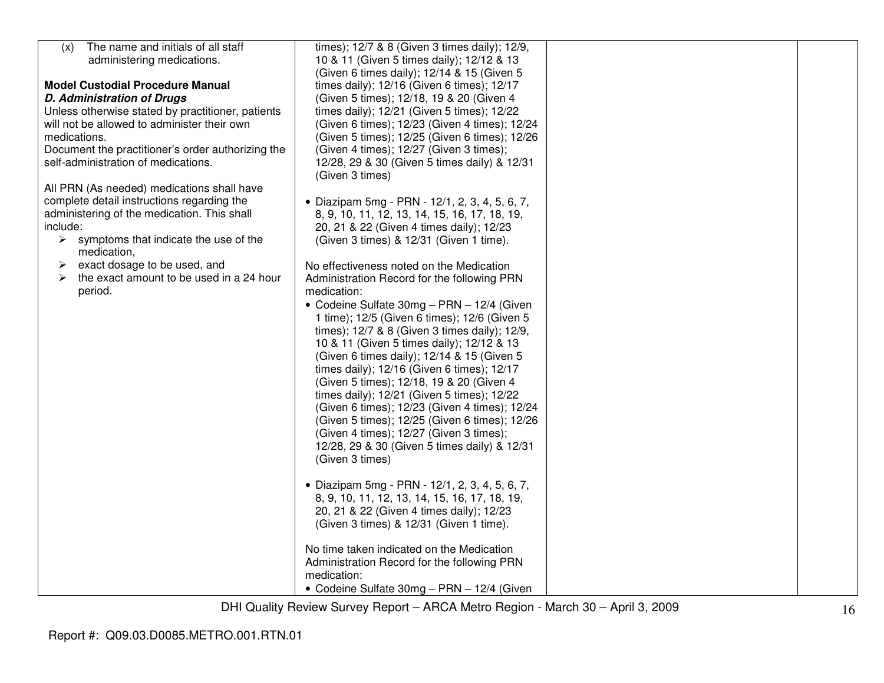| The name and initials of all staff<br>(x)                             | times); 12/7 & 8 (Given 3 times daily); 12/9,                                           |  |
|-----------------------------------------------------------------------|-----------------------------------------------------------------------------------------|--|
| administering medications.                                            | 10 & 11 (Given 5 times daily); 12/12 & 13                                               |  |
|                                                                       | (Given 6 times daily); 12/14 & 15 (Given 5                                              |  |
| <b>Model Custodial Procedure Manual</b>                               | times daily); 12/16 (Given 6 times); 12/17                                              |  |
| <b>D. Administration of Drugs</b>                                     | (Given 5 times); 12/18, 19 & 20 (Given 4                                                |  |
| Unless otherwise stated by practitioner, patients                     | times daily); 12/21 (Given 5 times); 12/22                                              |  |
| will not be allowed to administer their own                           | (Given 6 times); 12/23 (Given 4 times); 12/24                                           |  |
| medications.                                                          | (Given 5 times); 12/25 (Given 6 times); 12/26                                           |  |
| Document the practitioner's order authorizing the                     | (Given 4 times); 12/27 (Given 3 times);                                                 |  |
| self-administration of medications.                                   | 12/28, 29 & 30 (Given 5 times daily) & 12/31<br>(Given 3 times)                         |  |
| All PRN (As needed) medications shall have                            |                                                                                         |  |
| complete detail instructions regarding the                            | • Diazipam 5mg - PRN - 12/1, 2, 3, 4, 5, 6, 7,                                          |  |
| administering of the medication. This shall                           | 8, 9, 10, 11, 12, 13, 14, 15, 16, 17, 18, 19,                                           |  |
| include:                                                              | 20, 21 & 22 (Given 4 times daily); 12/23                                                |  |
| $\triangleright$ symptoms that indicate the use of the<br>medication, | (Given 3 times) & 12/31 (Given 1 time).                                                 |  |
| exact dosage to be used, and<br>➤                                     | No effectiveness noted on the Medication                                                |  |
| the exact amount to be used in a 24 hour<br>➤                         | Administration Record for the following PRN                                             |  |
| period.                                                               | medication:                                                                             |  |
|                                                                       | • Codeine Sulfate 30mg - PRN - 12/4 (Given                                              |  |
|                                                                       | 1 time); 12/5 (Given 6 times); 12/6 (Given 5                                            |  |
|                                                                       | times); 12/7 & 8 (Given 3 times daily); 12/9,                                           |  |
|                                                                       | 10 & 11 (Given 5 times daily); 12/12 & 13                                               |  |
|                                                                       | (Given 6 times daily); 12/14 & 15 (Given 5                                              |  |
|                                                                       | times daily); 12/16 (Given 6 times); 12/17                                              |  |
|                                                                       | (Given 5 times); 12/18, 19 & 20 (Given 4                                                |  |
|                                                                       | times daily); 12/21 (Given 5 times); 12/22                                              |  |
|                                                                       | (Given 6 times); 12/23 (Given 4 times); 12/24                                           |  |
|                                                                       | (Given 5 times); 12/25 (Given 6 times); 12/26                                           |  |
|                                                                       | (Given 4 times); 12/27 (Given 3 times);<br>12/28, 29 & 30 (Given 5 times daily) & 12/31 |  |
|                                                                       | (Given 3 times)                                                                         |  |
|                                                                       |                                                                                         |  |
|                                                                       | • Diazipam 5mg - PRN - 12/1, 2, 3, 4, 5, 6, 7,                                          |  |
|                                                                       | 8, 9, 10, 11, 12, 13, 14, 15, 16, 17, 18, 19,                                           |  |
|                                                                       | 20, 21 & 22 (Given 4 times daily); 12/23                                                |  |
|                                                                       | (Given 3 times) & 12/31 (Given 1 time).                                                 |  |
|                                                                       | No time taken indicated on the Medication                                               |  |
|                                                                       | Administration Record for the following PRN                                             |  |
|                                                                       | medication:                                                                             |  |
|                                                                       | • Codeine Sulfate 30mg - PRN - 12/4 (Given                                              |  |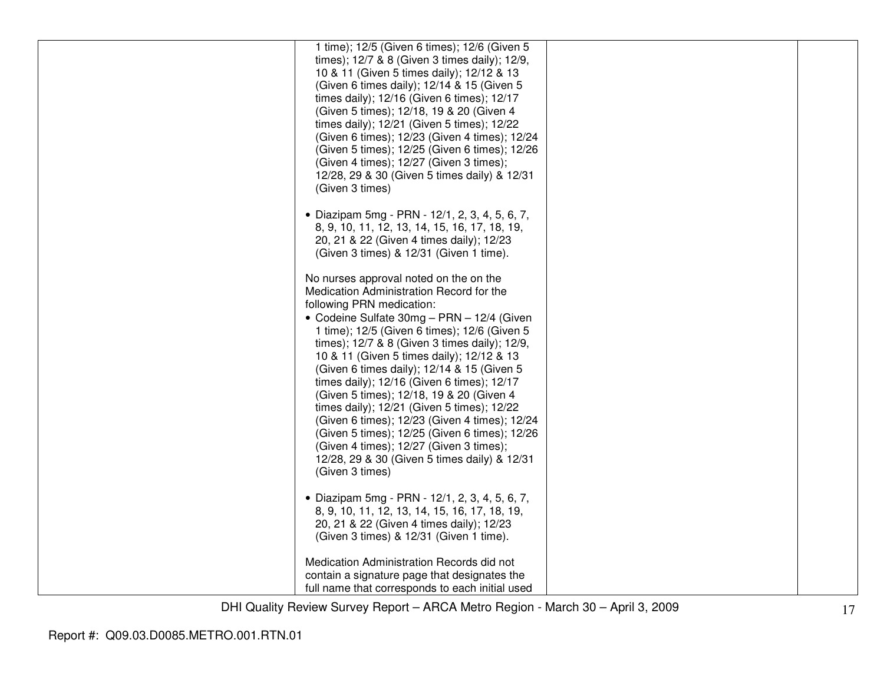| 1 time); 12/5 (Given 6 times); 12/6 (Given 5<br>times); 12/7 & 8 (Given 3 times daily); 12/9,<br>10 & 11 (Given 5 times daily); 12/12 & 13<br>(Given 6 times daily); 12/14 & 15 (Given 5<br>times daily); 12/16 (Given 6 times); 12/17<br>(Given 5 times); 12/18, 19 & 20 (Given 4<br>times daily); 12/21 (Given 5 times); 12/22<br>(Given 6 times); 12/23 (Given 4 times); 12/24<br>(Given 5 times); 12/25 (Given 6 times); 12/26<br>(Given 4 times); 12/27 (Given 3 times);<br>12/28, 29 & 30 (Given 5 times daily) & 12/31<br>(Given 3 times)                                                                                                                                                                  |  |
|-------------------------------------------------------------------------------------------------------------------------------------------------------------------------------------------------------------------------------------------------------------------------------------------------------------------------------------------------------------------------------------------------------------------------------------------------------------------------------------------------------------------------------------------------------------------------------------------------------------------------------------------------------------------------------------------------------------------|--|
| • Diazipam 5mg - PRN - 12/1, 2, 3, 4, 5, 6, 7,<br>8, 9, 10, 11, 12, 13, 14, 15, 16, 17, 18, 19,<br>20, 21 & 22 (Given 4 times daily); 12/23<br>(Given 3 times) & 12/31 (Given 1 time).                                                                                                                                                                                                                                                                                                                                                                                                                                                                                                                            |  |
| No nurses approval noted on the on the<br>Medication Administration Record for the<br>following PRN medication:<br>• Codeine Sulfate 30mg - PRN - 12/4 (Given<br>1 time); 12/5 (Given 6 times); 12/6 (Given 5<br>times); 12/7 & 8 (Given 3 times daily); 12/9,<br>10 & 11 (Given 5 times daily); 12/12 & 13<br>(Given 6 times daily); 12/14 & 15 (Given 5<br>times daily); 12/16 (Given 6 times); 12/17<br>(Given 5 times); 12/18, 19 & 20 (Given 4<br>times daily); 12/21 (Given 5 times); 12/22<br>(Given 6 times); 12/23 (Given 4 times); 12/24<br>(Given 5 times); 12/25 (Given 6 times); 12/26<br>(Given 4 times); 12/27 (Given 3 times);<br>12/28, 29 & 30 (Given 5 times daily) & 12/31<br>(Given 3 times) |  |
| • Diazipam 5mg - PRN - 12/1, 2, 3, 4, 5, 6, 7,<br>8, 9, 10, 11, 12, 13, 14, 15, 16, 17, 18, 19,<br>20, 21 & 22 (Given 4 times daily); 12/23<br>(Given 3 times) & 12/31 (Given 1 time).                                                                                                                                                                                                                                                                                                                                                                                                                                                                                                                            |  |
| Medication Administration Records did not<br>contain a signature page that designates the<br>full name that corresponds to each initial used                                                                                                                                                                                                                                                                                                                                                                                                                                                                                                                                                                      |  |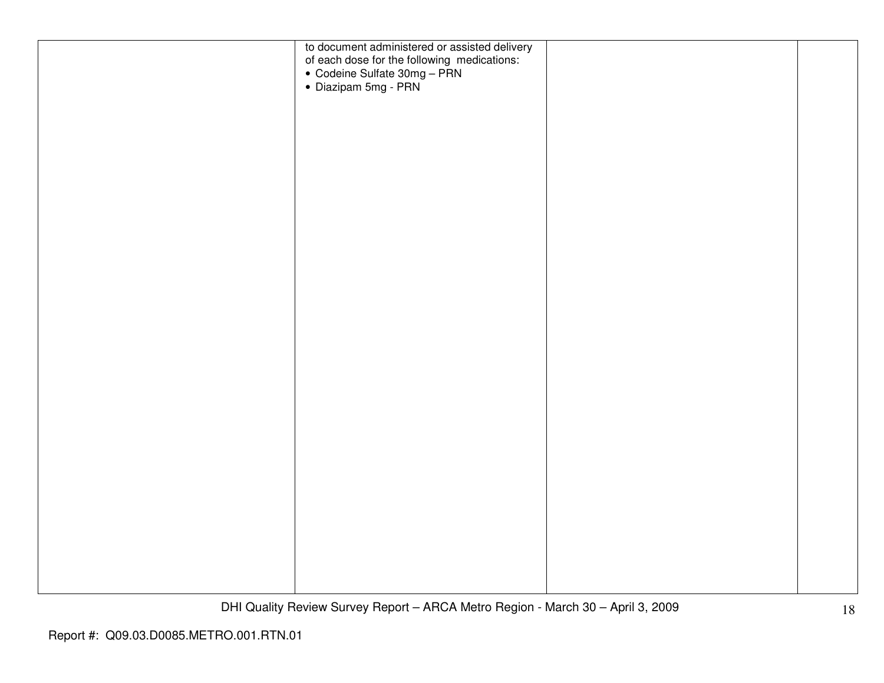| to document administered or assisted delivery<br>of each dose for the following medications:<br>• Codeine Sulfate 30mg – PRN<br>• Diazipam 5mg - PRN |  |
|------------------------------------------------------------------------------------------------------------------------------------------------------|--|
|                                                                                                                                                      |  |
|                                                                                                                                                      |  |
|                                                                                                                                                      |  |
|                                                                                                                                                      |  |
|                                                                                                                                                      |  |
|                                                                                                                                                      |  |
|                                                                                                                                                      |  |
|                                                                                                                                                      |  |
|                                                                                                                                                      |  |
|                                                                                                                                                      |  |
|                                                                                                                                                      |  |
|                                                                                                                                                      |  |
|                                                                                                                                                      |  |
|                                                                                                                                                      |  |
|                                                                                                                                                      |  |
|                                                                                                                                                      |  |
|                                                                                                                                                      |  |
|                                                                                                                                                      |  |
|                                                                                                                                                      |  |
|                                                                                                                                                      |  |
|                                                                                                                                                      |  |
|                                                                                                                                                      |  |
|                                                                                                                                                      |  |
|                                                                                                                                                      |  |
|                                                                                                                                                      |  |
|                                                                                                                                                      |  |
|                                                                                                                                                      |  |
|                                                                                                                                                      |  |
|                                                                                                                                                      |  |
|                                                                                                                                                      |  |
|                                                                                                                                                      |  |
|                                                                                                                                                      |  |
|                                                                                                                                                      |  |
|                                                                                                                                                      |  |
|                                                                                                                                                      |  |
|                                                                                                                                                      |  |
|                                                                                                                                                      |  |
|                                                                                                                                                      |  |
|                                                                                                                                                      |  |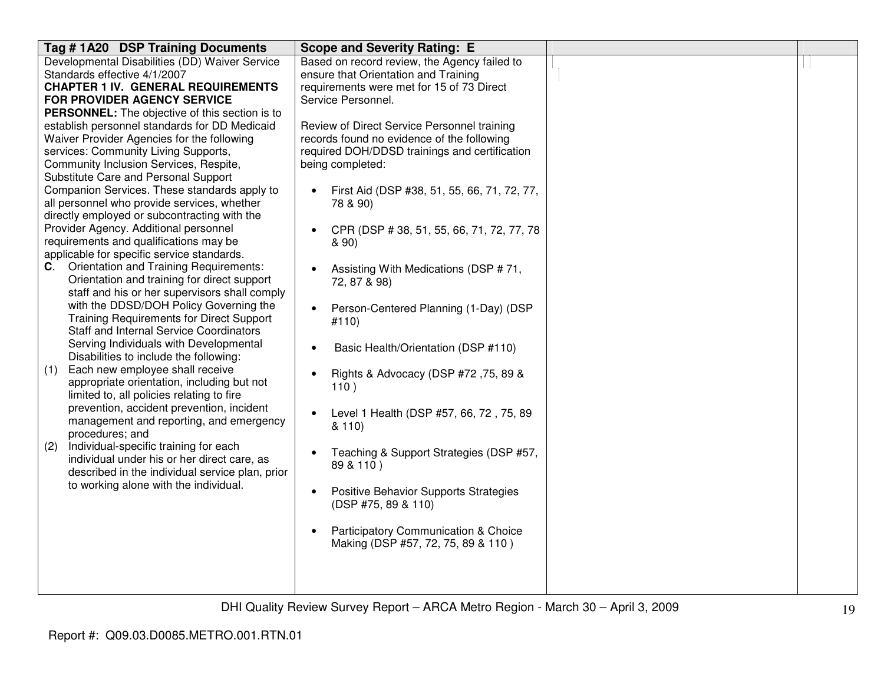| Tag #1A20 DSP Training Documents                                                      | <b>Scope and Severity Rating: E</b>                      |  |
|---------------------------------------------------------------------------------------|----------------------------------------------------------|--|
| Developmental Disabilities (DD) Waiver Service                                        | Based on record review, the Agency failed to             |  |
| Standards effective 4/1/2007                                                          | ensure that Orientation and Training                     |  |
| <b>CHAPTER 1 IV. GENERAL REQUIREMENTS</b>                                             | requirements were met for 15 of 73 Direct                |  |
| FOR PROVIDER AGENCY SERVICE                                                           | Service Personnel.                                       |  |
| <b>PERSONNEL:</b> The objective of this section is to                                 |                                                          |  |
| establish personnel standards for DD Medicaid                                         | Review of Direct Service Personnel training              |  |
| Waiver Provider Agencies for the following                                            | records found no evidence of the following               |  |
| services: Community Living Supports,                                                  | required DOH/DDSD trainings and certification            |  |
| Community Inclusion Services, Respite,                                                | being completed:                                         |  |
| Substitute Care and Personal Support                                                  |                                                          |  |
| Companion Services. These standards apply to                                          | First Aid (DSP #38, 51, 55, 66, 71, 72, 77,<br>$\bullet$ |  |
| all personnel who provide services, whether                                           | 78 & 90)                                                 |  |
| directly employed or subcontracting with the<br>Provider Agency. Additional personnel |                                                          |  |
| requirements and qualifications may be                                                | CPR (DSP #38, 51, 55, 66, 71, 72, 77, 78<br>$\bullet$    |  |
| applicable for specific service standards.                                            | & 90)                                                    |  |
| <b>Orientation and Training Requirements:</b><br>C.                                   |                                                          |  |
| Orientation and training for direct support                                           | Assisting With Medications (DSP #71,<br>72, 87 & 98)     |  |
| staff and his or her supervisors shall comply                                         |                                                          |  |
| with the DDSD/DOH Policy Governing the                                                | Person-Centered Planning (1-Day) (DSP<br>$\bullet$       |  |
| <b>Training Requirements for Direct Support</b>                                       | #110)                                                    |  |
| <b>Staff and Internal Service Coordinators</b>                                        |                                                          |  |
| Serving Individuals with Developmental                                                | Basic Health/Orientation (DSP #110)                      |  |
| Disabilities to include the following:                                                |                                                          |  |
| Each new employee shall receive<br>(1)                                                | Rights & Advocacy (DSP #72,75, 89 &                      |  |
| appropriate orientation, including but not                                            | 110)                                                     |  |
| limited to, all policies relating to fire                                             |                                                          |  |
| prevention, accident prevention, incident                                             | Level 1 Health (DSP #57, 66, 72, 75, 89                  |  |
| management and reporting, and emergency                                               | 8110                                                     |  |
| procedures; and                                                                       |                                                          |  |
| Individual-specific training for each<br>(2)                                          | Teaching & Support Strategies (DSP #57,<br>$\bullet$     |  |
| individual under his or her direct care, as                                           | 89 & 110)                                                |  |
| described in the individual service plan, prior                                       |                                                          |  |
| to working alone with the individual.                                                 | Positive Behavior Supports Strategies<br>$\bullet$       |  |
|                                                                                       | (DSP #75, 89 & 110)                                      |  |
|                                                                                       |                                                          |  |
|                                                                                       | Participatory Communication & Choice                     |  |
|                                                                                       | Making (DSP #57, 72, 75, 89 & 110)                       |  |
|                                                                                       |                                                          |  |
|                                                                                       |                                                          |  |
|                                                                                       |                                                          |  |
|                                                                                       |                                                          |  |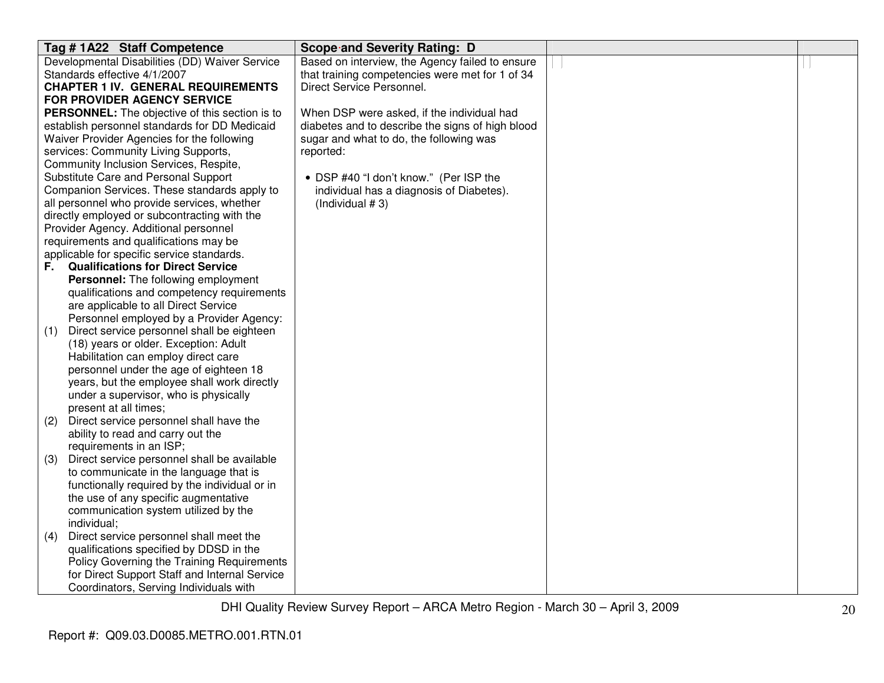| Tag #1A22 Staff Competence                                                                                                                                                                                                                                                                                                                                                                                                                                                                                                                                                                                                                                                                                                                                                                                                                                                                                                                                                                                                                                                                                                                                                                                               | Scope and Severity Rating: D                     |  |
|--------------------------------------------------------------------------------------------------------------------------------------------------------------------------------------------------------------------------------------------------------------------------------------------------------------------------------------------------------------------------------------------------------------------------------------------------------------------------------------------------------------------------------------------------------------------------------------------------------------------------------------------------------------------------------------------------------------------------------------------------------------------------------------------------------------------------------------------------------------------------------------------------------------------------------------------------------------------------------------------------------------------------------------------------------------------------------------------------------------------------------------------------------------------------------------------------------------------------|--------------------------------------------------|--|
| Developmental Disabilities (DD) Waiver Service                                                                                                                                                                                                                                                                                                                                                                                                                                                                                                                                                                                                                                                                                                                                                                                                                                                                                                                                                                                                                                                                                                                                                                           | Based on interview, the Agency failed to ensure  |  |
| Standards effective 4/1/2007                                                                                                                                                                                                                                                                                                                                                                                                                                                                                                                                                                                                                                                                                                                                                                                                                                                                                                                                                                                                                                                                                                                                                                                             | that training competencies were met for 1 of 34  |  |
| <b>CHAPTER 1 IV. GENERAL REQUIREMENTS</b>                                                                                                                                                                                                                                                                                                                                                                                                                                                                                                                                                                                                                                                                                                                                                                                                                                                                                                                                                                                                                                                                                                                                                                                | Direct Service Personnel.                        |  |
| FOR PROVIDER AGENCY SERVICE                                                                                                                                                                                                                                                                                                                                                                                                                                                                                                                                                                                                                                                                                                                                                                                                                                                                                                                                                                                                                                                                                                                                                                                              |                                                  |  |
| PERSONNEL: The objective of this section is to                                                                                                                                                                                                                                                                                                                                                                                                                                                                                                                                                                                                                                                                                                                                                                                                                                                                                                                                                                                                                                                                                                                                                                           | When DSP were asked, if the individual had       |  |
| establish personnel standards for DD Medicaid                                                                                                                                                                                                                                                                                                                                                                                                                                                                                                                                                                                                                                                                                                                                                                                                                                                                                                                                                                                                                                                                                                                                                                            | diabetes and to describe the signs of high blood |  |
| Waiver Provider Agencies for the following                                                                                                                                                                                                                                                                                                                                                                                                                                                                                                                                                                                                                                                                                                                                                                                                                                                                                                                                                                                                                                                                                                                                                                               | sugar and what to do, the following was          |  |
| services: Community Living Supports,                                                                                                                                                                                                                                                                                                                                                                                                                                                                                                                                                                                                                                                                                                                                                                                                                                                                                                                                                                                                                                                                                                                                                                                     | reported:                                        |  |
| Community Inclusion Services, Respite,                                                                                                                                                                                                                                                                                                                                                                                                                                                                                                                                                                                                                                                                                                                                                                                                                                                                                                                                                                                                                                                                                                                                                                                   |                                                  |  |
| Substitute Care and Personal Support                                                                                                                                                                                                                                                                                                                                                                                                                                                                                                                                                                                                                                                                                                                                                                                                                                                                                                                                                                                                                                                                                                                                                                                     | • DSP #40 "I don't know." (Per ISP the           |  |
| Companion Services. These standards apply to                                                                                                                                                                                                                                                                                                                                                                                                                                                                                                                                                                                                                                                                                                                                                                                                                                                                                                                                                                                                                                                                                                                                                                             | individual has a diagnosis of Diabetes).         |  |
| all personnel who provide services, whether                                                                                                                                                                                                                                                                                                                                                                                                                                                                                                                                                                                                                                                                                                                                                                                                                                                                                                                                                                                                                                                                                                                                                                              | (Individual $# 3$ )                              |  |
| directly employed or subcontracting with the                                                                                                                                                                                                                                                                                                                                                                                                                                                                                                                                                                                                                                                                                                                                                                                                                                                                                                                                                                                                                                                                                                                                                                             |                                                  |  |
| Provider Agency. Additional personnel                                                                                                                                                                                                                                                                                                                                                                                                                                                                                                                                                                                                                                                                                                                                                                                                                                                                                                                                                                                                                                                                                                                                                                                    |                                                  |  |
|                                                                                                                                                                                                                                                                                                                                                                                                                                                                                                                                                                                                                                                                                                                                                                                                                                                                                                                                                                                                                                                                                                                                                                                                                          |                                                  |  |
|                                                                                                                                                                                                                                                                                                                                                                                                                                                                                                                                                                                                                                                                                                                                                                                                                                                                                                                                                                                                                                                                                                                                                                                                                          |                                                  |  |
|                                                                                                                                                                                                                                                                                                                                                                                                                                                                                                                                                                                                                                                                                                                                                                                                                                                                                                                                                                                                                                                                                                                                                                                                                          |                                                  |  |
|                                                                                                                                                                                                                                                                                                                                                                                                                                                                                                                                                                                                                                                                                                                                                                                                                                                                                                                                                                                                                                                                                                                                                                                                                          |                                                  |  |
|                                                                                                                                                                                                                                                                                                                                                                                                                                                                                                                                                                                                                                                                                                                                                                                                                                                                                                                                                                                                                                                                                                                                                                                                                          |                                                  |  |
|                                                                                                                                                                                                                                                                                                                                                                                                                                                                                                                                                                                                                                                                                                                                                                                                                                                                                                                                                                                                                                                                                                                                                                                                                          |                                                  |  |
|                                                                                                                                                                                                                                                                                                                                                                                                                                                                                                                                                                                                                                                                                                                                                                                                                                                                                                                                                                                                                                                                                                                                                                                                                          |                                                  |  |
|                                                                                                                                                                                                                                                                                                                                                                                                                                                                                                                                                                                                                                                                                                                                                                                                                                                                                                                                                                                                                                                                                                                                                                                                                          |                                                  |  |
|                                                                                                                                                                                                                                                                                                                                                                                                                                                                                                                                                                                                                                                                                                                                                                                                                                                                                                                                                                                                                                                                                                                                                                                                                          |                                                  |  |
|                                                                                                                                                                                                                                                                                                                                                                                                                                                                                                                                                                                                                                                                                                                                                                                                                                                                                                                                                                                                                                                                                                                                                                                                                          |                                                  |  |
|                                                                                                                                                                                                                                                                                                                                                                                                                                                                                                                                                                                                                                                                                                                                                                                                                                                                                                                                                                                                                                                                                                                                                                                                                          |                                                  |  |
|                                                                                                                                                                                                                                                                                                                                                                                                                                                                                                                                                                                                                                                                                                                                                                                                                                                                                                                                                                                                                                                                                                                                                                                                                          |                                                  |  |
|                                                                                                                                                                                                                                                                                                                                                                                                                                                                                                                                                                                                                                                                                                                                                                                                                                                                                                                                                                                                                                                                                                                                                                                                                          |                                                  |  |
|                                                                                                                                                                                                                                                                                                                                                                                                                                                                                                                                                                                                                                                                                                                                                                                                                                                                                                                                                                                                                                                                                                                                                                                                                          |                                                  |  |
|                                                                                                                                                                                                                                                                                                                                                                                                                                                                                                                                                                                                                                                                                                                                                                                                                                                                                                                                                                                                                                                                                                                                                                                                                          |                                                  |  |
|                                                                                                                                                                                                                                                                                                                                                                                                                                                                                                                                                                                                                                                                                                                                                                                                                                                                                                                                                                                                                                                                                                                                                                                                                          |                                                  |  |
|                                                                                                                                                                                                                                                                                                                                                                                                                                                                                                                                                                                                                                                                                                                                                                                                                                                                                                                                                                                                                                                                                                                                                                                                                          |                                                  |  |
|                                                                                                                                                                                                                                                                                                                                                                                                                                                                                                                                                                                                                                                                                                                                                                                                                                                                                                                                                                                                                                                                                                                                                                                                                          |                                                  |  |
|                                                                                                                                                                                                                                                                                                                                                                                                                                                                                                                                                                                                                                                                                                                                                                                                                                                                                                                                                                                                                                                                                                                                                                                                                          |                                                  |  |
|                                                                                                                                                                                                                                                                                                                                                                                                                                                                                                                                                                                                                                                                                                                                                                                                                                                                                                                                                                                                                                                                                                                                                                                                                          |                                                  |  |
|                                                                                                                                                                                                                                                                                                                                                                                                                                                                                                                                                                                                                                                                                                                                                                                                                                                                                                                                                                                                                                                                                                                                                                                                                          |                                                  |  |
|                                                                                                                                                                                                                                                                                                                                                                                                                                                                                                                                                                                                                                                                                                                                                                                                                                                                                                                                                                                                                                                                                                                                                                                                                          |                                                  |  |
|                                                                                                                                                                                                                                                                                                                                                                                                                                                                                                                                                                                                                                                                                                                                                                                                                                                                                                                                                                                                                                                                                                                                                                                                                          |                                                  |  |
|                                                                                                                                                                                                                                                                                                                                                                                                                                                                                                                                                                                                                                                                                                                                                                                                                                                                                                                                                                                                                                                                                                                                                                                                                          |                                                  |  |
|                                                                                                                                                                                                                                                                                                                                                                                                                                                                                                                                                                                                                                                                                                                                                                                                                                                                                                                                                                                                                                                                                                                                                                                                                          |                                                  |  |
|                                                                                                                                                                                                                                                                                                                                                                                                                                                                                                                                                                                                                                                                                                                                                                                                                                                                                                                                                                                                                                                                                                                                                                                                                          |                                                  |  |
|                                                                                                                                                                                                                                                                                                                                                                                                                                                                                                                                                                                                                                                                                                                                                                                                                                                                                                                                                                                                                                                                                                                                                                                                                          |                                                  |  |
| requirements and qualifications may be<br>applicable for specific service standards.<br><b>Qualifications for Direct Service</b><br>F.,<br>Personnel: The following employment<br>qualifications and competency requirements<br>are applicable to all Direct Service<br>Personnel employed by a Provider Agency:<br>Direct service personnel shall be eighteen<br>(1)<br>(18) years or older. Exception: Adult<br>Habilitation can employ direct care<br>personnel under the age of eighteen 18<br>years, but the employee shall work directly<br>under a supervisor, who is physically<br>present at all times;<br>Direct service personnel shall have the<br>(2)<br>ability to read and carry out the<br>requirements in an ISP;<br>Direct service personnel shall be available<br>(3)<br>to communicate in the language that is<br>functionally required by the individual or in<br>the use of any specific augmentative<br>communication system utilized by the<br>individual;<br>Direct service personnel shall meet the<br>(4)<br>qualifications specified by DDSD in the<br>Policy Governing the Training Requirements<br>for Direct Support Staff and Internal Service<br>Coordinators, Serving Individuals with |                                                  |  |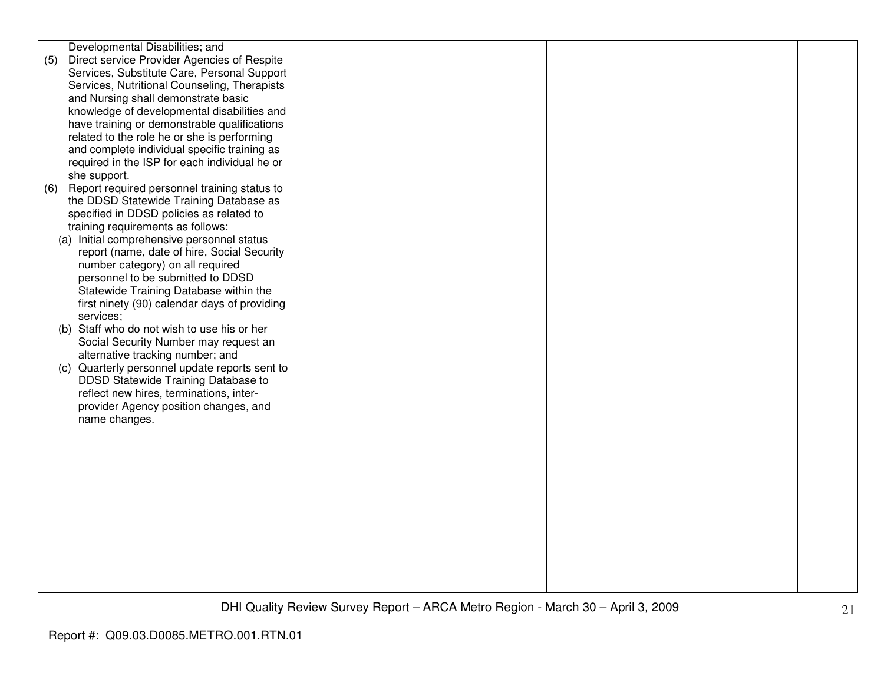|     | Developmental Disabilities; and               |  |  |
|-----|-----------------------------------------------|--|--|
| (5) | Direct service Provider Agencies of Respite   |  |  |
|     | Services, Substitute Care, Personal Support   |  |  |
|     | Services, Nutritional Counseling, Therapists  |  |  |
|     | and Nursing shall demonstrate basic           |  |  |
|     |                                               |  |  |
|     | knowledge of developmental disabilities and   |  |  |
|     | have training or demonstrable qualifications  |  |  |
|     | related to the role he or she is performing   |  |  |
|     | and complete individual specific training as  |  |  |
|     | required in the ISP for each individual he or |  |  |
|     | she support.                                  |  |  |
| (6) | Report required personnel training status to  |  |  |
|     | the DDSD Statewide Training Database as       |  |  |
|     | specified in DDSD policies as related to      |  |  |
|     | training requirements as follows:             |  |  |
|     |                                               |  |  |
|     | (a) Initial comprehensive personnel status    |  |  |
|     | report (name, date of hire, Social Security   |  |  |
|     | number category) on all required              |  |  |
|     | personnel to be submitted to DDSD             |  |  |
|     | Statewide Training Database within the        |  |  |
|     | first ninety (90) calendar days of providing  |  |  |
|     | services;                                     |  |  |
|     | (b) Staff who do not wish to use his or her   |  |  |
|     | Social Security Number may request an         |  |  |
|     | alternative tracking number; and              |  |  |
| (c) | Quarterly personnel update reports sent to    |  |  |
|     | DDSD Statewide Training Database to           |  |  |
|     |                                               |  |  |
|     | reflect new hires, terminations, inter-       |  |  |
|     | provider Agency position changes, and         |  |  |
|     | name changes.                                 |  |  |
|     |                                               |  |  |
|     |                                               |  |  |
|     |                                               |  |  |
|     |                                               |  |  |
|     |                                               |  |  |
|     |                                               |  |  |
|     |                                               |  |  |
|     |                                               |  |  |
|     |                                               |  |  |
|     |                                               |  |  |
|     |                                               |  |  |
|     |                                               |  |  |
|     |                                               |  |  |
|     |                                               |  |  |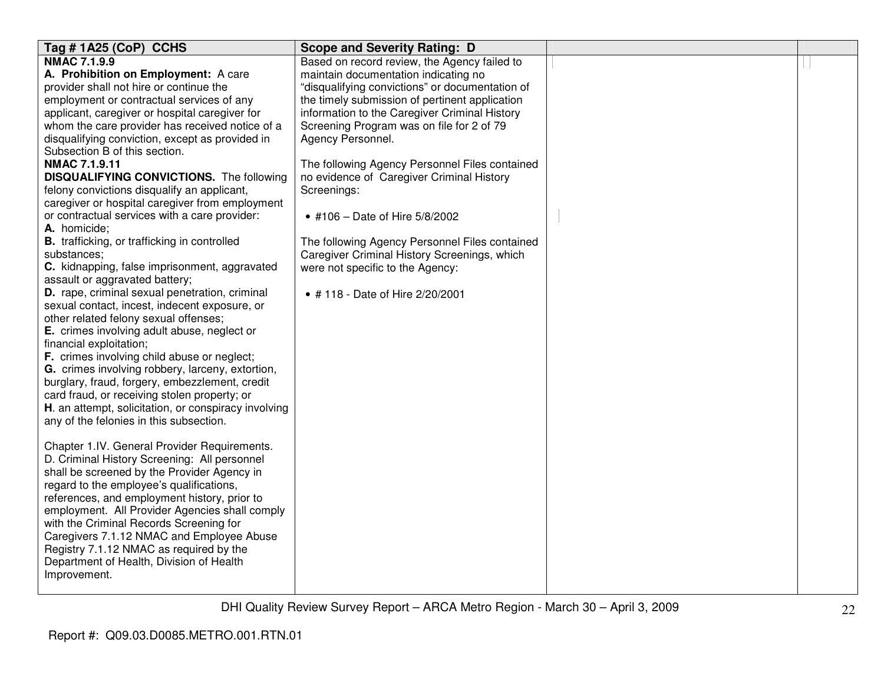| Tag #1A25 (CoP) CCHS                                                            | <b>Scope and Severity Rating: D</b>             |  |
|---------------------------------------------------------------------------------|-------------------------------------------------|--|
| <b>NMAC 7.1.9.9</b>                                                             | Based on record review, the Agency failed to    |  |
| A. Prohibition on Employment: A care                                            | maintain documentation indicating no            |  |
| provider shall not hire or continue the                                         | "disqualifying convictions" or documentation of |  |
| employment or contractual services of any                                       | the timely submission of pertinent application  |  |
| applicant, caregiver or hospital caregiver for                                  | information to the Caregiver Criminal History   |  |
| whom the care provider has received notice of a                                 | Screening Program was on file for 2 of 79       |  |
| disqualifying conviction, except as provided in                                 | Agency Personnel.                               |  |
| Subsection B of this section.                                                   |                                                 |  |
| <b>NMAC 7.1.9.11</b>                                                            | The following Agency Personnel Files contained  |  |
| <b>DISQUALIFYING CONVICTIONS.</b> The following                                 | no evidence of Caregiver Criminal History       |  |
| felony convictions disqualify an applicant,                                     | Screenings:                                     |  |
| caregiver or hospital caregiver from employment                                 |                                                 |  |
| or contractual services with a care provider:                                   | • #106 - Date of Hire 5/8/2002                  |  |
| A. homicide;                                                                    |                                                 |  |
| <b>B.</b> trafficking, or trafficking in controlled                             | The following Agency Personnel Files contained  |  |
| substances:                                                                     | Caregiver Criminal History Screenings, which    |  |
| C. kidnapping, false imprisonment, aggravated<br>assault or aggravated battery; | were not specific to the Agency:                |  |
| D. rape, criminal sexual penetration, criminal                                  |                                                 |  |
| sexual contact, incest, indecent exposure, or                                   | • #118 - Date of Hire 2/20/2001                 |  |
| other related felony sexual offenses;                                           |                                                 |  |
| E. crimes involving adult abuse, neglect or                                     |                                                 |  |
| financial exploitation;                                                         |                                                 |  |
| <b>F.</b> crimes involving child abuse or neglect;                              |                                                 |  |
| G. crimes involving robbery, larceny, extortion,                                |                                                 |  |
| burglary, fraud, forgery, embezzlement, credit                                  |                                                 |  |
| card fraud, or receiving stolen property; or                                    |                                                 |  |
| H. an attempt, solicitation, or conspiracy involving                            |                                                 |  |
| any of the felonies in this subsection.                                         |                                                 |  |
|                                                                                 |                                                 |  |
| Chapter 1.IV. General Provider Requirements.                                    |                                                 |  |
| D. Criminal History Screening: All personnel                                    |                                                 |  |
| shall be screened by the Provider Agency in                                     |                                                 |  |
| regard to the employee's qualifications,                                        |                                                 |  |
| references, and employment history, prior to                                    |                                                 |  |
| employment. All Provider Agencies shall comply                                  |                                                 |  |
| with the Criminal Records Screening for                                         |                                                 |  |
| Caregivers 7.1.12 NMAC and Employee Abuse                                       |                                                 |  |
| Registry 7.1.12 NMAC as required by the                                         |                                                 |  |
| Department of Health, Division of Health                                        |                                                 |  |
| Improvement.                                                                    |                                                 |  |
|                                                                                 |                                                 |  |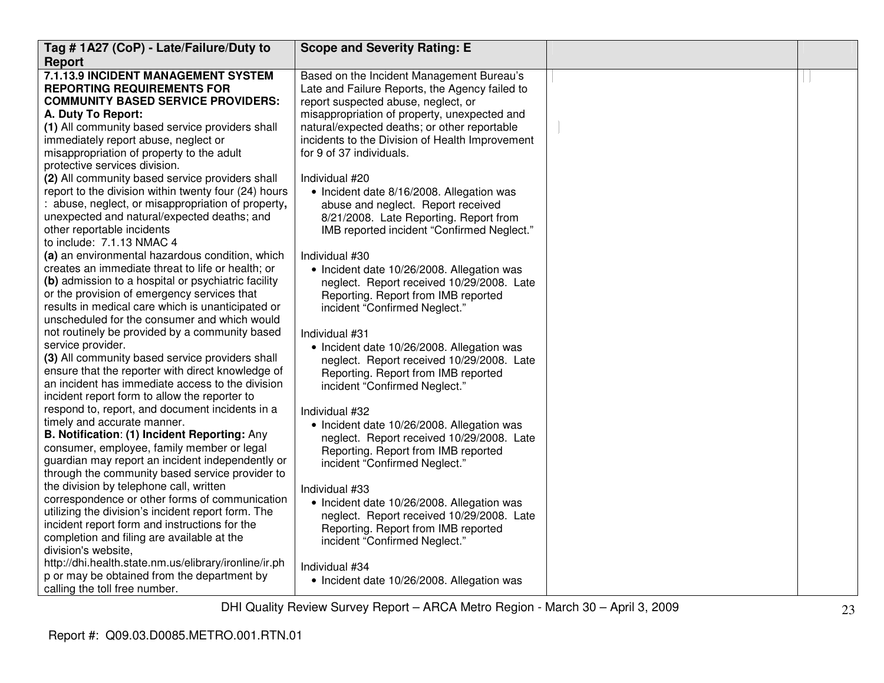| Tag #1A27 (CoP) - Late/Failure/Duty to                                         | <b>Scope and Severity Rating: E</b>                                                          |  |
|--------------------------------------------------------------------------------|----------------------------------------------------------------------------------------------|--|
| <b>Report</b>                                                                  |                                                                                              |  |
| 7.1.13.9 INCIDENT MANAGEMENT SYSTEM                                            | Based on the Incident Management Bureau's                                                    |  |
| <b>REPORTING REQUIREMENTS FOR</b>                                              | Late and Failure Reports, the Agency failed to                                               |  |
| <b>COMMUNITY BASED SERVICE PROVIDERS:</b>                                      | report suspected abuse, neglect, or                                                          |  |
| A. Duty To Report:<br>(1) All community based service providers shall          | misappropriation of property, unexpected and<br>natural/expected deaths; or other reportable |  |
| immediately report abuse, neglect or                                           | incidents to the Division of Health Improvement                                              |  |
| misappropriation of property to the adult                                      | for 9 of 37 individuals.                                                                     |  |
| protective services division.                                                  |                                                                                              |  |
| (2) All community based service providers shall                                | Individual #20                                                                               |  |
| report to the division within twenty four (24) hours                           | • Incident date 8/16/2008. Allegation was                                                    |  |
| : abuse, neglect, or misappropriation of property,                             | abuse and neglect. Report received                                                           |  |
| unexpected and natural/expected deaths; and                                    | 8/21/2008. Late Reporting. Report from                                                       |  |
| other reportable incidents                                                     | IMB reported incident "Confirmed Neglect."                                                   |  |
| to include: 7.1.13 NMAC 4                                                      |                                                                                              |  |
| (a) an environmental hazardous condition, which                                | Individual #30                                                                               |  |
| creates an immediate threat to life or health; or                              | • Incident date 10/26/2008. Allegation was                                                   |  |
| (b) admission to a hospital or psychiatric facility                            | neglect. Report received 10/29/2008. Late                                                    |  |
| or the provision of emergency services that                                    | Reporting. Report from IMB reported                                                          |  |
| results in medical care which is unanticipated or                              | incident "Confirmed Neglect."                                                                |  |
| unscheduled for the consumer and which would                                   |                                                                                              |  |
| not routinely be provided by a community based                                 | Individual #31                                                                               |  |
| service provider.                                                              | • Incident date 10/26/2008. Allegation was                                                   |  |
| (3) All community based service providers shall                                | neglect. Report received 10/29/2008. Late                                                    |  |
| ensure that the reporter with direct knowledge of                              | Reporting. Report from IMB reported                                                          |  |
| an incident has immediate access to the division                               | incident "Confirmed Neglect."                                                                |  |
| incident report form to allow the reporter to                                  |                                                                                              |  |
| respond to, report, and document incidents in a<br>timely and accurate manner. | Individual #32                                                                               |  |
| B. Notification: (1) Incident Reporting: Any                                   | • Incident date 10/26/2008. Allegation was                                                   |  |
| consumer, employee, family member or legal                                     | neglect. Report received 10/29/2008. Late                                                    |  |
| guardian may report an incident independently or                               | Reporting. Report from IMB reported<br>incident "Confirmed Neglect."                         |  |
| through the community based service provider to                                |                                                                                              |  |
| the division by telephone call, written                                        | Individual #33                                                                               |  |
| correspondence or other forms of communication                                 | • Incident date 10/26/2008. Allegation was                                                   |  |
| utilizing the division's incident report form. The                             | neglect. Report received 10/29/2008. Late                                                    |  |
| incident report form and instructions for the                                  | Reporting. Report from IMB reported                                                          |  |
| completion and filing are available at the                                     | incident "Confirmed Neglect."                                                                |  |
| division's website,                                                            |                                                                                              |  |
| http://dhi.health.state.nm.us/elibrary/ironline/ir.ph                          | Individual #34                                                                               |  |
| p or may be obtained from the department by                                    | • Incident date 10/26/2008. Allegation was                                                   |  |
| calling the toll free number.                                                  |                                                                                              |  |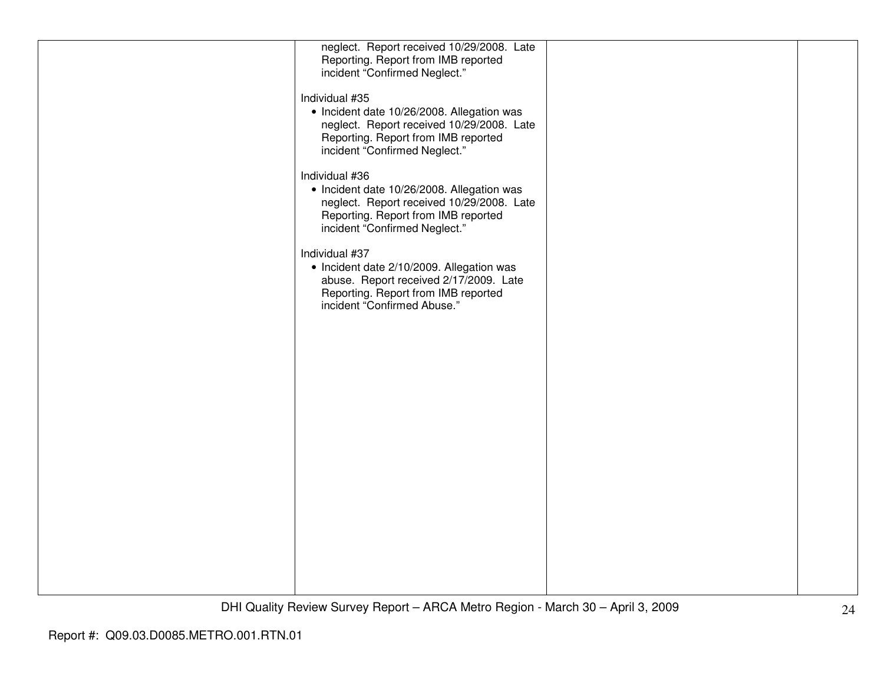| neglect. Report received 10/29/2008. Late<br>Reporting. Report from IMB reported<br>incident "Confirmed Neglect."                                                                 |  |
|-----------------------------------------------------------------------------------------------------------------------------------------------------------------------------------|--|
| Individual #35<br>• Incident date 10/26/2008. Allegation was<br>neglect. Report received 10/29/2008. Late<br>Reporting. Report from IMB reported<br>incident "Confirmed Neglect." |  |
| Individual #36<br>• Incident date 10/26/2008. Allegation was<br>neglect. Report received 10/29/2008. Late<br>Reporting. Report from IMB reported<br>incident "Confirmed Neglect." |  |
| Individual #37<br>• Incident date 2/10/2009. Allegation was<br>abuse. Report received 2/17/2009. Late<br>Reporting. Report from IMB reported<br>incident "Confirmed Abuse."       |  |
|                                                                                                                                                                                   |  |
|                                                                                                                                                                                   |  |
|                                                                                                                                                                                   |  |
|                                                                                                                                                                                   |  |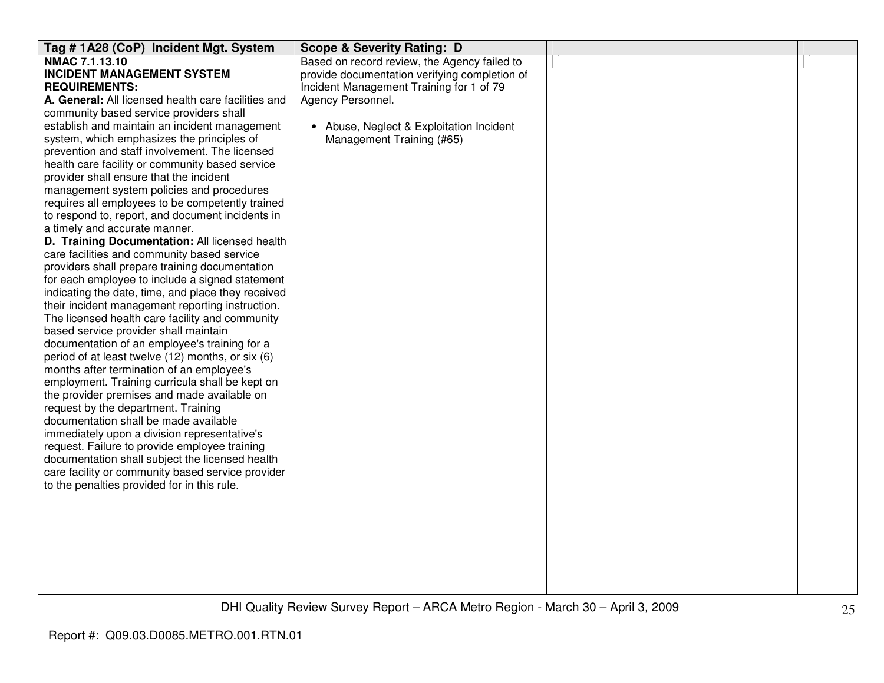| Tag #1A28 (CoP) Incident Mgt. System                | <b>Scope &amp; Severity Rating: D</b>         |  |
|-----------------------------------------------------|-----------------------------------------------|--|
| NMAC 7.1.13.10                                      | Based on record review, the Agency failed to  |  |
| <b>INCIDENT MANAGEMENT SYSTEM</b>                   | provide documentation verifying completion of |  |
| <b>REQUIREMENTS:</b>                                | Incident Management Training for 1 of 79      |  |
| A. General: All licensed health care facilities and | Agency Personnel.                             |  |
| community based service providers shall             |                                               |  |
| establish and maintain an incident management       | • Abuse, Neglect & Exploitation Incident      |  |
| system, which emphasizes the principles of          | Management Training (#65)                     |  |
| prevention and staff involvement. The licensed      |                                               |  |
| health care facility or community based service     |                                               |  |
| provider shall ensure that the incident             |                                               |  |
| management system policies and procedures           |                                               |  |
| requires all employees to be competently trained    |                                               |  |
| to respond to, report, and document incidents in    |                                               |  |
| a timely and accurate manner.                       |                                               |  |
| D. Training Documentation: All licensed health      |                                               |  |
| care facilities and community based service         |                                               |  |
| providers shall prepare training documentation      |                                               |  |
| for each employee to include a signed statement     |                                               |  |
| indicating the date, time, and place they received  |                                               |  |
| their incident management reporting instruction.    |                                               |  |
| The licensed health care facility and community     |                                               |  |
| based service provider shall maintain               |                                               |  |
| documentation of an employee's training for a       |                                               |  |
| period of at least twelve (12) months, or six (6)   |                                               |  |
| months after termination of an employee's           |                                               |  |
| employment. Training curricula shall be kept on     |                                               |  |
| the provider premises and made available on         |                                               |  |
| request by the department. Training                 |                                               |  |
| documentation shall be made available               |                                               |  |
| immediately upon a division representative's        |                                               |  |
| request. Failure to provide employee training       |                                               |  |
| documentation shall subject the licensed health     |                                               |  |
| care facility or community based service provider   |                                               |  |
| to the penalties provided for in this rule.         |                                               |  |
|                                                     |                                               |  |
|                                                     |                                               |  |
|                                                     |                                               |  |
|                                                     |                                               |  |
|                                                     |                                               |  |
|                                                     |                                               |  |
|                                                     |                                               |  |
|                                                     |                                               |  |